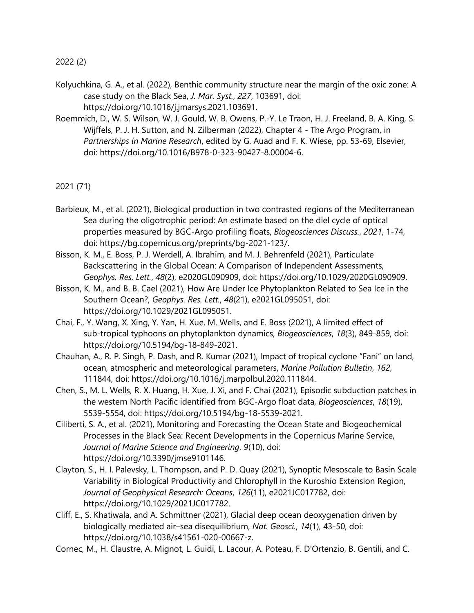2022 (2)

- Kolyuchkina, G. A., et al. (2022), Benthic community structure near the margin of the oxic zone: A case study on the Black Sea, *J. Mar. Syst.*, *227*, 103691, doi: https://doi.org/10.1016/j.jmarsys.2021.103691.
- Roemmich, D., W. S. Wilson, W. J. Gould, W. B. Owens, P.-Y. Le Traon, H. J. Freeland, B. A. King, S. Wijffels, P. J. H. Sutton, and N. Zilberman (2022), Chapter 4 - The Argo Program, in *Partnerships in Marine Research*, edited by G. Auad and F. K. Wiese, pp. 53-69, Elsevier, doi: https://doi.org/10.1016/B978-0-323-90427-8.00004-6.

2021 (71)

- Barbieux, M., et al. (2021), Biological production in two contrasted regions of the Mediterranean Sea during the oligotrophic period: An estimate based on the diel cycle of optical properties measured by BGC-Argo profiling floats, *Biogeosciences Discuss.*, *2021*, 1-74, doi: https://bg.copernicus.org/preprints/bg-2021-123/.
- Bisson, K. M., E. Boss, P. J. Werdell, A. Ibrahim, and M. J. Behrenfeld (2021), Particulate Backscattering in the Global Ocean: A Comparison of Independent Assessments, *Geophys. Res. Lett.*, *48*(2), e2020GL090909, doi: https://doi.org/10.1029/2020GL090909.
- Bisson, K. M., and B. B. Cael (2021), How Are Under Ice Phytoplankton Related to Sea Ice in the Southern Ocean?, *Geophys. Res. Lett.*, *48*(21), e2021GL095051, doi: https://doi.org/10.1029/2021GL095051.
- Chai, F., Y. Wang, X. Xing, Y. Yan, H. Xue, M. Wells, and E. Boss (2021), A limited effect of sub-tropical typhoons on phytoplankton dynamics, *Biogeosciences*, *18*(3), 849-859, doi: https://doi.org/10.5194/bg-18-849-2021.
- Chauhan, A., R. P. Singh, P. Dash, and R. Kumar (2021), Impact of tropical cyclone "Fani" on land, ocean, atmospheric and meteorological parameters, *Marine Pollution Bulletin*, *162*, 111844, doi: https://doi.org/10.1016/j.marpolbul.2020.111844.
- Chen, S., M. L. Wells, R. X. Huang, H. Xue, J. Xi, and F. Chai (2021), Episodic subduction patches in the western North Pacific identified from BGC-Argo float data, *Biogeosciences*, *18*(19), 5539-5554, doi: https://doi.org/10.5194/bg-18-5539-2021.
- Ciliberti, S. A., et al. (2021), Monitoring and Forecasting the Ocean State and Biogeochemical Processes in the Black Sea: Recent Developments in the Copernicus Marine Service, *Journal of Marine Science and Engineering*, *9*(10), doi: https://doi.org/10.3390/jmse9101146.
- Clayton, S., H. I. Palevsky, L. Thompson, and P. D. Quay (2021), Synoptic Mesoscale to Basin Scale Variability in Biological Productivity and Chlorophyll in the Kuroshio Extension Region, *Journal of Geophysical Research: Oceans*, *126*(11), e2021JC017782, doi: https://doi.org/10.1029/2021JC017782.
- Cliff, E., S. Khatiwala, and A. Schmittner (2021), Glacial deep ocean deoxygenation driven by biologically mediated air–sea disequilibrium, *Nat. Geosci.*, *14*(1), 43-50, doi: https://doi.org/10.1038/s41561-020-00667-z.
- Cornec, M., H. Claustre, A. Mignot, L. Guidi, L. Lacour, A. Poteau, F. D'Ortenzio, B. Gentili, and C.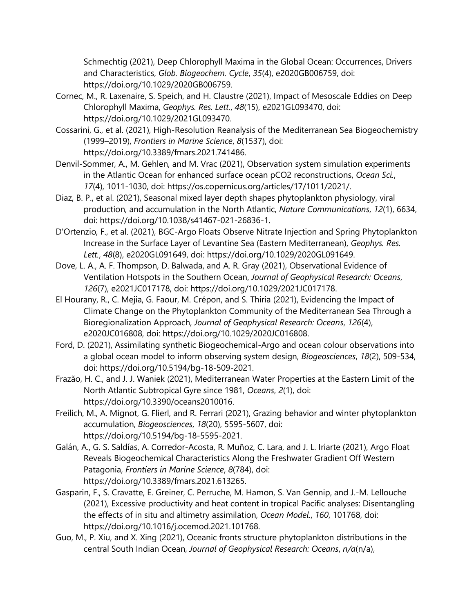Schmechtig (2021), Deep Chlorophyll Maxima in the Global Ocean: Occurrences, Drivers and Characteristics, *Glob. Biogeochem. Cycle*, *35*(4), e2020GB006759, doi: https://doi.org/10.1029/2020GB006759.

- Cornec, M., R. Laxenaire, S. Speich, and H. Claustre (2021), Impact of Mesoscale Eddies on Deep Chlorophyll Maxima, *Geophys. Res. Lett.*, *48*(15), e2021GL093470, doi: https://doi.org/10.1029/2021GL093470.
- Cossarini, G., et al. (2021), High-Resolution Reanalysis of the Mediterranean Sea Biogeochemistry (1999–2019), *Frontiers in Marine Science*, *8*(1537), doi: https://doi.org/10.3389/fmars.2021.741486.
- Denvil-Sommer, A., M. Gehlen, and M. Vrac (2021), Observation system simulation experiments in the Atlantic Ocean for enhanced surface ocean pCO2 reconstructions, *Ocean Sci.*, *17*(4), 1011-1030, doi: https://os.copernicus.org/articles/17/1011/2021/.
- Diaz, B. P., et al. (2021), Seasonal mixed layer depth shapes phytoplankton physiology, viral production, and accumulation in the North Atlantic, *Nature Communications*, *12*(1), 6634, doi: https://doi.org/10.1038/s41467-021-26836-1.
- D'Ortenzio, F., et al. (2021), BGC-Argo Floats Observe Nitrate Injection and Spring Phytoplankton Increase in the Surface Layer of Levantine Sea (Eastern Mediterranean), *Geophys. Res. Lett.*, *48*(8), e2020GL091649, doi: https://doi.org/10.1029/2020GL091649.
- Dove, L. A., A. F. Thompson, D. Balwada, and A. R. Gray (2021), Observational Evidence of Ventilation Hotspots in the Southern Ocean, *Journal of Geophysical Research: Oceans*, *126*(7), e2021JC017178, doi: https://doi.org/10.1029/2021JC017178.
- El Hourany, R., C. Mejia, G. Faour, M. Crépon, and S. Thiria (2021), Evidencing the Impact of Climate Change on the Phytoplankton Community of the Mediterranean Sea Through a Bioregionalization Approach, *Journal of Geophysical Research: Oceans*, *126*(4), e2020JC016808, doi: https://doi.org/10.1029/2020JC016808.
- Ford, D. (2021), Assimilating synthetic Biogeochemical-Argo and ocean colour observations into a global ocean model to inform observing system design, *Biogeosciences*, *18*(2), 509-534, doi: https://doi.org/10.5194/bg-18-509-2021.
- Frazão, H. C., and J. J. Waniek (2021), Mediterranean Water Properties at the Eastern Limit of the North Atlantic Subtropical Gyre since 1981, *Oceans*, *2*(1), doi: https://doi.org/10.3390/oceans2010016.
- Freilich, M., A. Mignot, G. Flierl, and R. Ferrari (2021), Grazing behavior and winter phytoplankton accumulation, *Biogeosciences*, *18*(20), 5595-5607, doi: https://doi.org/10.5194/bg-18-5595-2021.
- Galán, A., G. S. Saldías, A. Corredor-Acosta, R. Muñoz, C. Lara, and J. L. Iriarte (2021), Argo Float Reveals Biogeochemical Characteristics Along the Freshwater Gradient Off Western Patagonia, *Frontiers in Marine Science*, *8*(784), doi: https://doi.org/10.3389/fmars.2021.613265.
- Gasparin, F., S. Cravatte, E. Greiner, C. Perruche, M. Hamon, S. Van Gennip, and J.-M. Lellouche (2021), Excessive productivity and heat content in tropical Pacific analyses: Disentangling the effects of in situ and altimetry assimilation, *Ocean Model.*, *160*, 101768, doi: https://doi.org/10.1016/j.ocemod.2021.101768.
- Guo, M., P. Xiu, and X. Xing (2021), Oceanic fronts structure phytoplankton distributions in the central South Indian Ocean, *Journal of Geophysical Research: Oceans*, *n/a*(n/a),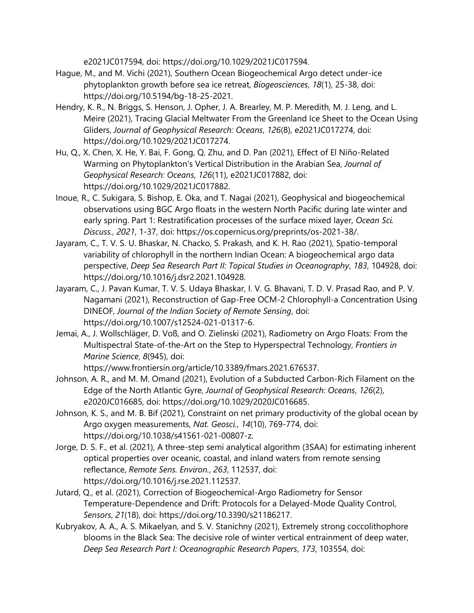e2021JC017594, doi: https://doi.org/10.1029/2021JC017594.

- Hague, M., and M. Vichi (2021), Southern Ocean Biogeochemical Argo detect under-ice phytoplankton growth before sea ice retreat, *Biogeosciences*, *18*(1), 25-38, doi: https://doi.org/10.5194/bg-18-25-2021.
- Hendry, K. R., N. Briggs, S. Henson, J. Opher, J. A. Brearley, M. P. Meredith, M. J. Leng, and L. Meire (2021), Tracing Glacial Meltwater From the Greenland Ice Sheet to the Ocean Using Gliders, *Journal of Geophysical Research: Oceans*, *126*(8), e2021JC017274, doi: https://doi.org/10.1029/2021JC017274.
- Hu, Q., X. Chen, X. He, Y. Bai, F. Gong, Q. Zhu, and D. Pan (2021), Effect of El Niño-Related Warming on Phytoplankton's Vertical Distribution in the Arabian Sea, *Journal of Geophysical Research: Oceans*, *126*(11), e2021JC017882, doi: https://doi.org/10.1029/2021JC017882.
- Inoue, R., C. Sukigara, S. Bishop, E. Oka, and T. Nagai (2021), Geophysical and biogeochemical observations using BGC Argo floats in the western North Pacific during late winter and early spring. Part 1: Restratification processes of the surface mixed layer, *Ocean Sci. Discuss.*, *2021*, 1-37, doi: https://os.copernicus.org/preprints/os-2021-38/.
- Jayaram, C., T. V. S. U. Bhaskar, N. Chacko, S. Prakash, and K. H. Rao (2021), Spatio-temporal variability of chlorophyll in the northern Indian Ocean: A biogeochemical argo data perspective, *Deep Sea Research Part II: Topical Studies in Oceanography*, *183*, 104928, doi: https://doi.org/10.1016/j.dsr2.2021.104928.
- Jayaram, C., J. Pavan Kumar, T. V. S. Udaya Bhaskar, I. V. G. Bhavani, T. D. V. Prasad Rao, and P. V. Nagamani (2021), Reconstruction of Gap-Free OCM-2 Chlorophyll-a Concentration Using DINEOF, *Journal of the Indian Society of Remote Sensing*, doi: https://doi.org/10.1007/s12524-021-01317-6.
- Jemai, A., J. Wollschläger, D. Voß, and O. Zielinski (2021), Radiometry on Argo Floats: From the Multispectral State-of-the-Art on the Step to Hyperspectral Technology, *Frontiers in Marine Science*, *8*(945), doi:

https://www.frontiersin.org/article/10.3389/fmars.2021.676537.

- Johnson, A. R., and M. M. Omand (2021), Evolution of a Subducted Carbon-Rich Filament on the Edge of the North Atlantic Gyre, *Journal of Geophysical Research: Oceans*, *126*(2), e2020JC016685, doi: https://doi.org/10.1029/2020JC016685.
- Johnson, K. S., and M. B. Bif (2021), Constraint on net primary productivity of the global ocean by Argo oxygen measurements, *Nat. Geosci.*, *14*(10), 769-774, doi: https://doi.org/10.1038/s41561-021-00807-z.
- Jorge, D. S. F., et al. (2021), A three-step semi analytical algorithm (3SAA) for estimating inherent optical properties over oceanic, coastal, and inland waters from remote sensing reflectance, *Remote Sens. Environ.*, *263*, 112537, doi: https://doi.org/10.1016/j.rse.2021.112537.
- Jutard, Q., et al. (2021), Correction of Biogeochemical-Argo Radiometry for Sensor Temperature-Dependence and Drift: Protocols for a Delayed-Mode Quality Control, *Sensors*, *21*(18), doi: https://doi.org/10.3390/s21186217.
- Kubryakov, A. A., A. S. Mikaelyan, and S. V. Stanichny (2021), Extremely strong coccolithophore blooms in the Black Sea: The decisive role of winter vertical entrainment of deep water, *Deep Sea Research Part I: Oceanographic Research Papers*, *173*, 103554, doi: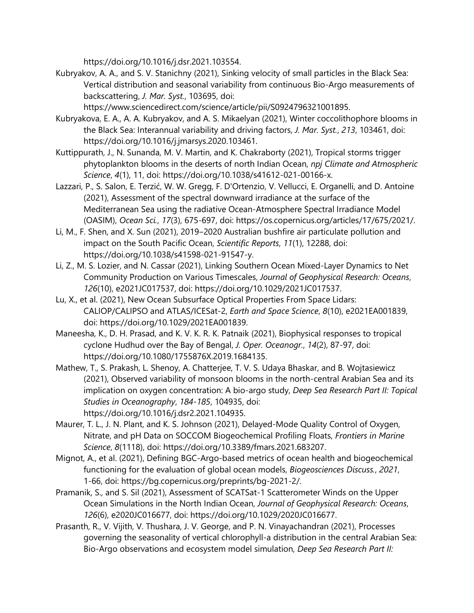https://doi.org/10.1016/j.dsr.2021.103554.

Kubryakov, A. A., and S. V. Stanichny (2021), Sinking velocity of small particles in the Black Sea: Vertical distribution and seasonal variability from continuous Bio-Argo measurements of backscattering, *J. Mar. Syst.*, 103695, doi:

https://www.sciencedirect.com/science/article/pii/S0924796321001895.

- Kubryakova, E. A., A. A. Kubryakov, and A. S. Mikaelyan (2021), Winter coccolithophore blooms in the Black Sea: Interannual variability and driving factors, *J. Mar. Syst.*, *213*, 103461, doi: https://doi.org/10.1016/j.jmarsys.2020.103461.
- Kuttippurath, J., N. Sunanda, M. V. Martin, and K. Chakraborty (2021), Tropical storms trigger phytoplankton blooms in the deserts of north Indian Ocean, *npj Climate and Atmospheric Science*, *4*(1), 11, doi: https://doi.org/10.1038/s41612-021-00166-x.
- Lazzari, P., S. Salon, E. Terzić, W. W. Gregg, F. D'Ortenzio, V. Vellucci, E. Organelli, and D. Antoine (2021), Assessment of the spectral downward irradiance at the surface of the Mediterranean Sea using the radiative Ocean-Atmosphere Spectral Irradiance Model (OASIM), *Ocean Sci.*, *17*(3), 675-697, doi: https://os.copernicus.org/articles/17/675/2021/.
- Li, M., F. Shen, and X. Sun (2021), 2019–2020 Australian bushfire air particulate pollution and impact on the South Pacific Ocean, *Scientific Reports*, *11*(1), 12288, doi: https://doi.org/10.1038/s41598-021-91547-y.
- Li, Z., M. S. Lozier, and N. Cassar (2021), Linking Southern Ocean Mixed-Layer Dynamics to Net Community Production on Various Timescales, *Journal of Geophysical Research: Oceans*, *126*(10), e2021JC017537, doi: https://doi.org/10.1029/2021JC017537.
- Lu, X., et al. (2021), New Ocean Subsurface Optical Properties From Space Lidars: CALIOP/CALIPSO and ATLAS/ICESat-2, *Earth and Space Science*, *8*(10), e2021EA001839, doi: https://doi.org/10.1029/2021EA001839.
- Maneesha, K., D. H. Prasad, and K. V. K. R. K. Patnaik (2021), Biophysical responses to tropical cyclone Hudhud over the Bay of Bengal, *J. Oper. Oceanogr.*, *14*(2), 87-97, doi: https://doi.org/10.1080/1755876X.2019.1684135.
- Mathew, T., S. Prakash, L. Shenoy, A. Chatterjee, T. V. S. Udaya Bhaskar, and B. Wojtasiewicz (2021), Observed variability of monsoon blooms in the north-central Arabian Sea and its implication on oxygen concentration: A bio-argo study, *Deep Sea Research Part II: Topical Studies in Oceanography*, *184-185*, 104935, doi: https://doi.org/10.1016/j.dsr2.2021.104935.
- Maurer, T. L., J. N. Plant, and K. S. Johnson (2021), Delayed-Mode Quality Control of Oxygen, Nitrate, and pH Data on SOCCOM Biogeochemical Profiling Floats, *Frontiers in Marine Science*, *8*(1118), doi: https://doi.org/10.3389/fmars.2021.683207.
- Mignot, A., et al. (2021), Defining BGC-Argo-based metrics of ocean health and biogeochemical functioning for the evaluation of global ocean models, *Biogeosciences Discuss.*, *2021*, 1-66, doi: https://bg.copernicus.org/preprints/bg-2021-2/.
- Pramanik, S., and S. Sil (2021), Assessment of SCATSat-1 Scatterometer Winds on the Upper Ocean Simulations in the North Indian Ocean, *Journal of Geophysical Research: Oceans*, *126*(6), e2020JC016677, doi: https://doi.org/10.1029/2020JC016677.
- Prasanth, R., V. Vijith, V. Thushara, J. V. George, and P. N. Vinayachandran (2021), Processes governing the seasonality of vertical chlorophyll-a distribution in the central Arabian Sea: Bio-Argo observations and ecosystem model simulation, *Deep Sea Research Part II:*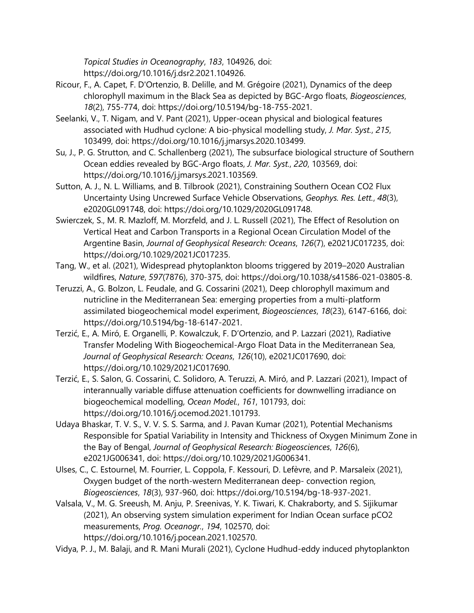*Topical Studies in Oceanography*, *183*, 104926, doi: https://doi.org/10.1016/j.dsr2.2021.104926.

- Ricour, F., A. Capet, F. D'Ortenzio, B. Delille, and M. Grégoire (2021), Dynamics of the deep chlorophyll maximum in the Black Sea as depicted by BGC-Argo floats, *Biogeosciences*, *18*(2), 755-774, doi: https://doi.org/10.5194/bg-18-755-2021.
- Seelanki, V., T. Nigam, and V. Pant (2021), Upper-ocean physical and biological features associated with Hudhud cyclone: A bio-physical modelling study, *J. Mar. Syst.*, *215*, 103499, doi: https://doi.org/10.1016/j.jmarsys.2020.103499.
- Su, J., P. G. Strutton, and C. Schallenberg (2021), The subsurface biological structure of Southern Ocean eddies revealed by BGC-Argo floats, *J. Mar. Syst.*, *220*, 103569, doi: https://doi.org/10.1016/j.jmarsys.2021.103569.
- Sutton, A. J., N. L. Williams, and B. Tilbrook (2021), Constraining Southern Ocean CO2 Flux Uncertainty Using Uncrewed Surface Vehicle Observations, *Geophys. Res. Lett.*, *48*(3), e2020GL091748, doi: https://doi.org/10.1029/2020GL091748.
- Swierczek, S., M. R. Mazloff, M. Morzfeld, and J. L. Russell (2021), The Effect of Resolution on Vertical Heat and Carbon Transports in a Regional Ocean Circulation Model of the Argentine Basin, *Journal of Geophysical Research: Oceans*, *126*(7), e2021JC017235, doi: https://doi.org/10.1029/2021JC017235.
- Tang, W., et al. (2021), Widespread phytoplankton blooms triggered by 2019–2020 Australian wildfires, *Nature*, *597*(7876), 370-375, doi: https://doi.org/10.1038/s41586-021-03805-8.
- Teruzzi, A., G. Bolzon, L. Feudale, and G. Cossarini (2021), Deep chlorophyll maximum and nutricline in the Mediterranean Sea: emerging properties from a multi-platform assimilated biogeochemical model experiment, *Biogeosciences*, *18*(23), 6147-6166, doi: https://doi.org/10.5194/bg-18-6147-2021.
- Terzić, E., A. Miró, E. Organelli, P. Kowalczuk, F. D'Ortenzio, and P. Lazzari (2021), Radiative Transfer Modeling With Biogeochemical-Argo Float Data in the Mediterranean Sea, *Journal of Geophysical Research: Oceans*, *126*(10), e2021JC017690, doi: https://doi.org/10.1029/2021JC017690.
- Terzić, E., S. Salon, G. Cossarini, C. Solidoro, A. Teruzzi, A. Miró, and P. Lazzari (2021), Impact of interannually variable diffuse attenuation coefficients for downwelling irradiance on biogeochemical modelling, *Ocean Model.*, *161*, 101793, doi: https://doi.org/10.1016/j.ocemod.2021.101793.
- Udaya Bhaskar, T. V. S., V. V. S. S. Sarma, and J. Pavan Kumar (2021), Potential Mechanisms Responsible for Spatial Variability in Intensity and Thickness of Oxygen Minimum Zone in the Bay of Bengal, *Journal of Geophysical Research: Biogeosciences*, *126*(6), e2021JG006341, doi: https://doi.org/10.1029/2021JG006341.
- Ulses, C., C. Estournel, M. Fourrier, L. Coppola, F. Kessouri, D. Lefèvre, and P. Marsaleix (2021), Oxygen budget of the north-western Mediterranean deep- convection region, *Biogeosciences*, *18*(3), 937-960, doi: https://doi.org/10.5194/bg-18-937-2021.
- Valsala, V., M. G. Sreeush, M. Anju, P. Sreenivas, Y. K. Tiwari, K. Chakraborty, and S. Sijikumar (2021), An observing system simulation experiment for Indian Ocean surface pCO2 measurements, *Prog. Oceanogr.*, *194*, 102570, doi: https://doi.org/10.1016/j.pocean.2021.102570.
- Vidya, P. J., M. Balaji, and R. Mani Murali (2021), Cyclone Hudhud-eddy induced phytoplankton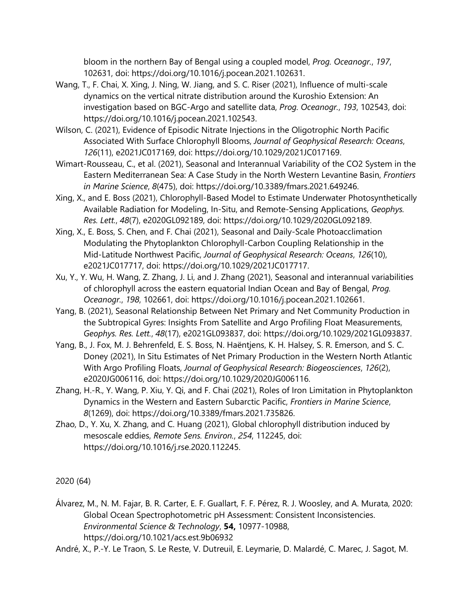bloom in the northern Bay of Bengal using a coupled model, *Prog. Oceanogr.*, *197*, 102631, doi: https://doi.org/10.1016/j.pocean.2021.102631.

- Wang, T., F. Chai, X. Xing, J. Ning, W. Jiang, and S. C. Riser (2021), Influence of multi-scale dynamics on the vertical nitrate distribution around the Kuroshio Extension: An investigation based on BGC-Argo and satellite data, *Prog. Oceanogr.*, *193*, 102543, doi: https://doi.org/10.1016/j.pocean.2021.102543.
- Wilson, C. (2021), Evidence of Episodic Nitrate Injections in the Oligotrophic North Pacific Associated With Surface Chlorophyll Blooms, *Journal of Geophysical Research: Oceans*, *126*(11), e2021JC017169, doi: https://doi.org/10.1029/2021JC017169.
- Wimart-Rousseau, C., et al. (2021), Seasonal and Interannual Variability of the CO2 System in the Eastern Mediterranean Sea: A Case Study in the North Western Levantine Basin, *Frontiers in Marine Science*, *8*(475), doi: https://doi.org/10.3389/fmars.2021.649246.
- Xing, X., and E. Boss (2021), Chlorophyll-Based Model to Estimate Underwater Photosynthetically Available Radiation for Modeling, In-Situ, and Remote-Sensing Applications, *Geophys. Res. Lett.*, *48*(7), e2020GL092189, doi: https://doi.org/10.1029/2020GL092189.
- Xing, X., E. Boss, S. Chen, and F. Chai (2021), Seasonal and Daily-Scale Photoacclimation Modulating the Phytoplankton Chlorophyll-Carbon Coupling Relationship in the Mid-Latitude Northwest Pacific, *Journal of Geophysical Research: Oceans*, *126*(10), e2021JC017717, doi: https://doi.org/10.1029/2021JC017717.
- Xu, Y., Y. Wu, H. Wang, Z. Zhang, J. Li, and J. Zhang (2021), Seasonal and interannual variabilities of chlorophyll across the eastern equatorial Indian Ocean and Bay of Bengal, *Prog. Oceanogr.*, *198*, 102661, doi: https://doi.org/10.1016/j.pocean.2021.102661.
- Yang, B. (2021), Seasonal Relationship Between Net Primary and Net Community Production in the Subtropical Gyres: Insights From Satellite and Argo Profiling Float Measurements, *Geophys. Res. Lett.*, *48*(17), e2021GL093837, doi: https://doi.org/10.1029/2021GL093837.
- Yang, B., J. Fox, M. J. Behrenfeld, E. S. Boss, N. Haëntjens, K. H. Halsey, S. R. Emerson, and S. C. Doney (2021), In Situ Estimates of Net Primary Production in the Western North Atlantic With Argo Profiling Floats, *Journal of Geophysical Research: Biogeosciences*, *126*(2), e2020JG006116, doi: https://doi.org/10.1029/2020JG006116.
- Zhang, H.-R., Y. Wang, P. Xiu, Y. Qi, and F. Chai (2021), Roles of Iron Limitation in Phytoplankton Dynamics in the Western and Eastern Subarctic Pacific, *Frontiers in Marine Science*, *8*(1269), doi: https://doi.org/10.3389/fmars.2021.735826.
- Zhao, D., Y. Xu, X. Zhang, and C. Huang (2021), Global chlorophyll distribution induced by mesoscale eddies, *Remote Sens. Environ.*, *254*, 112245, doi: https://doi.org/10.1016/j.rse.2020.112245.

## 2020 (64)

Álvarez, M., N. M. Fajar, B. R. Carter, E. F. Guallart, F. F. Pérez, R. J. Woosley, and A. Murata, 2020: Global Ocean Spectrophotometric pH Assessment: Consistent Inconsistencies. *Environmental Science & Technology*, **54,** 10977-10988, https://doi.org/10.1021/acs.est.9b06932

André, X., P.-Y. Le Traon, S. Le Reste, V. Dutreuil, E. Leymarie, D. Malardé, C. Marec, J. Sagot, M.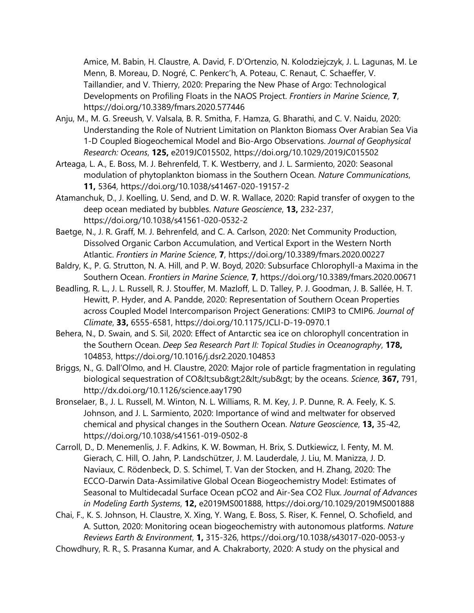Amice, M. Babin, H. Claustre, A. David, F. D'Ortenzio, N. Kolodziejczyk, J. L. Lagunas, M. Le Menn, B. Moreau, D. Nogré, C. Penkerc'h, A. Poteau, C. Renaut, C. Schaeffer, V. Taillandier, and V. Thierry, 2020: Preparing the New Phase of Argo: Technological Developments on Profiling Floats in the NAOS Project. *Frontiers in Marine Science*, **7**, https://doi.org/10.3389/fmars.2020.577446

- Anju, M., M. G. Sreeush, V. Valsala, B. R. Smitha, F. Hamza, G. Bharathi, and C. V. Naidu, 2020: Understanding the Role of Nutrient Limitation on Plankton Biomass Over Arabian Sea Via 1-D Coupled Biogeochemical Model and Bio-Argo Observations. *Journal of Geophysical Research: Oceans*, **125,** e2019JC015502, https://doi.org/10.1029/2019JC015502
- Arteaga, L. A., E. Boss, M. J. Behrenfeld, T. K. Westberry, and J. L. Sarmiento, 2020: Seasonal modulation of phytoplankton biomass in the Southern Ocean. *Nature Communications*, **11,** 5364, https://doi.org/10.1038/s41467-020-19157-2
- Atamanchuk, D., J. Koelling, U. Send, and D. W. R. Wallace, 2020: Rapid transfer of oxygen to the deep ocean mediated by bubbles. *Nature Geoscience*, **13,** 232-237, https://doi.org/10.1038/s41561-020-0532-2
- Baetge, N., J. R. Graff, M. J. Behrenfeld, and C. A. Carlson, 2020: Net Community Production, Dissolved Organic Carbon Accumulation, and Vertical Export in the Western North Atlantic. *Frontiers in Marine Science*, **7**, https://doi.org/10.3389/fmars.2020.00227
- Baldry, K., P. G. Strutton, N. A. Hill, and P. W. Boyd, 2020: Subsurface Chlorophyll-a Maxima in the Southern Ocean. *Frontiers in Marine Science*, **7**, https://doi.org/10.3389/fmars.2020.00671
- Beadling, R. L., J. L. Russell, R. J. Stouffer, M. Mazloff, L. D. Talley, P. J. Goodman, J. B. Sallée, H. T. Hewitt, P. Hyder, and A. Pandde, 2020: Representation of Southern Ocean Properties across Coupled Model Intercomparison Project Generations: CMIP3 to CMIP6. *Journal of Climate*, **33,** 6555-6581, https://doi.org/10.1175/JCLI-D-19-0970.1
- Behera, N., D. Swain, and S. Sil, 2020: Effect of Antarctic sea ice on chlorophyll concentration in the Southern Ocean. *Deep Sea Research Part II: Topical Studies in Oceanography*, **178,** 104853, https://doi.org/10.1016/j.dsr2.2020.104853
- Briggs, N., G. Dall'Olmo, and H. Claustre, 2020: Major role of particle fragmentation in regulating biological sequestration of CO&It;sub&qt;2&It;/sub&qt; by the oceans. *Science*, 367, 791, http://dx.doi.org/10.1126/science.aay1790
- Bronselaer, B., J. L. Russell, M. Winton, N. L. Williams, R. M. Key, J. P. Dunne, R. A. Feely, K. S. Johnson, and J. L. Sarmiento, 2020: Importance of wind and meltwater for observed chemical and physical changes in the Southern Ocean. *Nature Geoscience*, **13,** 35-42, https://doi.org/10.1038/s41561-019-0502-8
- Carroll, D., D. Menemenlis, J. F. Adkins, K. W. Bowman, H. Brix, S. Dutkiewicz, I. Fenty, M. M. Gierach, C. Hill, O. Jahn, P. Landschützer, J. M. Lauderdale, J. Liu, M. Manizza, J. D. Naviaux, C. Rödenbeck, D. S. Schimel, T. Van der Stocken, and H. Zhang, 2020: The ECCO-Darwin Data-Assimilative Global Ocean Biogeochemistry Model: Estimates of Seasonal to Multidecadal Surface Ocean pCO2 and Air-Sea CO2 Flux. *Journal of Advances in Modeling Earth Systems*, **12,** e2019MS001888, https://doi.org/10.1029/2019MS001888
- Chai, F., K. S. Johnson, H. Claustre, X. Xing, Y. Wang, E. Boss, S. Riser, K. Fennel, O. Schofield, and A. Sutton, 2020: Monitoring ocean biogeochemistry with autonomous platforms. *Nature Reviews Earth & Environment*, **1,** 315-326, https://doi.org/10.1038/s43017-020-0053-y
- Chowdhury, R. R., S. Prasanna Kumar, and A. Chakraborty, 2020: A study on the physical and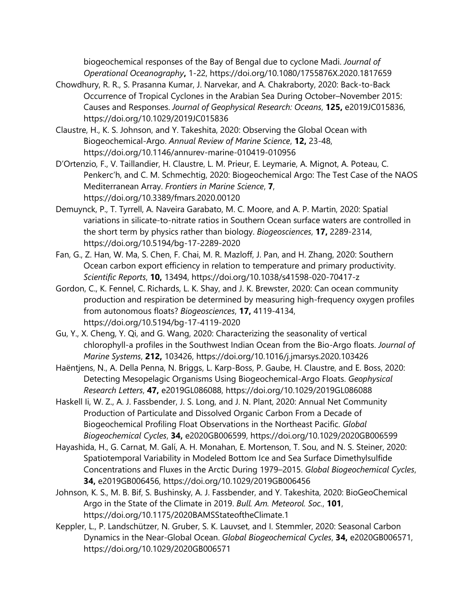biogeochemical responses of the Bay of Bengal due to cyclone Madi. *Journal of Operational Oceanography***,** 1-22, https://doi.org/10.1080/1755876X.2020.1817659

- Chowdhury, R. R., S. Prasanna Kumar, J. Narvekar, and A. Chakraborty, 2020: Back-to-Back Occurrence of Tropical Cyclones in the Arabian Sea During October–November 2015: Causes and Responses. *Journal of Geophysical Research: Oceans*, **125,** e2019JC015836, https://doi.org/10.1029/2019JC015836
- Claustre, H., K. S. Johnson, and Y. Takeshita, 2020: Observing the Global Ocean with Biogeochemical-Argo. *Annual Review of Marine Science*, **12,** 23-48, https://doi.org/10.1146/annurev-marine-010419-010956
- D'Ortenzio, F., V. Taillandier, H. Claustre, L. M. Prieur, E. Leymarie, A. Mignot, A. Poteau, C. Penkerc'h, and C. M. Schmechtig, 2020: Biogeochemical Argo: The Test Case of the NAOS Mediterranean Array. *Frontiers in Marine Science*, **7**, https://doi.org/10.3389/fmars.2020.00120
- Demuynck, P., T. Tyrrell, A. Naveira Garabato, M. C. Moore, and A. P. Martin, 2020: Spatial variations in silicate-to-nitrate ratios in Southern Ocean surface waters are controlled in the short term by physics rather than biology. *Biogeosciences*, **17,** 2289-2314, https://doi.org/10.5194/bg-17-2289-2020
- Fan, G., Z. Han, W. Ma, S. Chen, F. Chai, M. R. Mazloff, J. Pan, and H. Zhang, 2020: Southern Ocean carbon export efficiency in relation to temperature and primary productivity. *Scientific Reports*, **10,** 13494, https://doi.org/10.1038/s41598-020-70417-z
- Gordon, C., K. Fennel, C. Richards, L. K. Shay, and J. K. Brewster, 2020: Can ocean community production and respiration be determined by measuring high-frequency oxygen profiles from autonomous floats? *Biogeosciences*, **17,** 4119-4134, https://doi.org/10.5194/bg-17-4119-2020
- Gu, Y., X. Cheng, Y. Qi, and G. Wang, 2020: Characterizing the seasonality of vertical chlorophyll-a profiles in the Southwest Indian Ocean from the Bio-Argo floats. *Journal of Marine Systems*, **212,** 103426, https://doi.org/10.1016/j.jmarsys.2020.103426
- Haëntjens, N., A. Della Penna, N. Briggs, L. Karp-Boss, P. Gaube, H. Claustre, and E. Boss, 2020: Detecting Mesopelagic Organisms Using Biogeochemical-Argo Floats. *Geophysical Research Letters*, **47,** e2019GL086088, https://doi.org/10.1029/2019GL086088
- Haskell Ii, W. Z., A. J. Fassbender, J. S. Long, and J. N. Plant, 2020: Annual Net Community Production of Particulate and Dissolved Organic Carbon From a Decade of Biogeochemical Profiling Float Observations in the Northeast Pacific. *Global Biogeochemical Cycles*, **34,** e2020GB006599, https://doi.org/10.1029/2020GB006599
- Hayashida, H., G. Carnat, M. Galí, A. H. Monahan, E. Mortenson, T. Sou, and N. S. Steiner, 2020: Spatiotemporal Variability in Modeled Bottom Ice and Sea Surface Dimethylsulfide Concentrations and Fluxes in the Arctic During 1979–2015. *Global Biogeochemical Cycles*, **34,** e2019GB006456, https://doi.org/10.1029/2019GB006456
- Johnson, K. S., M. B. Bif, S. Bushinsky, A. J. Fassbender, and Y. Takeshita, 2020: BioGeoChemical Argo in the State of the Climate in 2019. *Bull. Am. Meteorol. Soc.*, **101**, https://doi.org/10.1175/2020BAMSStateoftheClimate.1
- Keppler, L., P. Landschützer, N. Gruber, S. K. Lauvset, and I. Stemmler, 2020: Seasonal Carbon Dynamics in the Near-Global Ocean. *Global Biogeochemical Cycles*, **34,** e2020GB006571, https://doi.org/10.1029/2020GB006571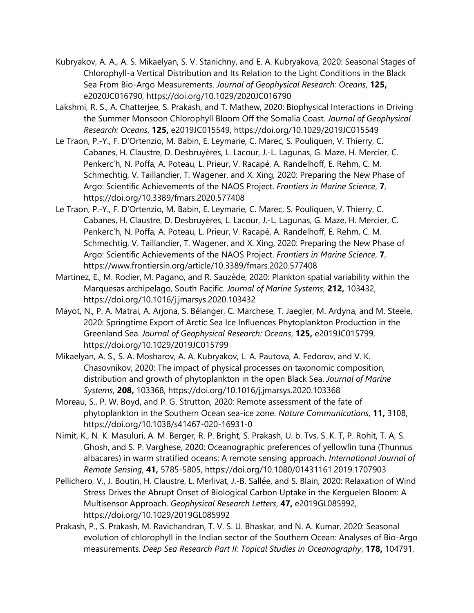- Kubryakov, A. A., A. S. Mikaelyan, S. V. Stanichny, and E. A. Kubryakova, 2020: Seasonal Stages of Chlorophyll-a Vertical Distribution and Its Relation to the Light Conditions in the Black Sea From Bio-Argo Measurements. *Journal of Geophysical Research: Oceans*, **125,** e2020JC016790, https://doi.org/10.1029/2020JC016790
- Lakshmi, R. S., A. Chatterjee, S. Prakash, and T. Mathew, 2020: Biophysical Interactions in Driving the Summer Monsoon Chlorophyll Bloom Off the Somalia Coast. *Journal of Geophysical Research: Oceans*, **125,** e2019JC015549, https://doi.org/10.1029/2019JC015549
- Le Traon, P.-Y., F. D'Ortenzio, M. Babin, E. Leymarie, C. Marec, S. Pouliquen, V. Thierry, C. Cabanes, H. Claustre, D. Desbruyères, L. Lacour, J.-L. Lagunas, G. Maze, H. Mercier, C. Penkerc'h, N. Poffa, A. Poteau, L. Prieur, V. Racapé, A. Randelhoff, E. Rehm, C. M. Schmechtig, V. Taillandier, T. Wagener, and X. Xing, 2020: Preparing the New Phase of Argo: Scientific Achievements of the NAOS Project. *Frontiers in Marine Science*, **7**, https://doi.org/10.3389/fmars.2020.577408
- Le Traon, P.-Y., F. D'Ortenzio, M. Babin, E. Leymarie, C. Marec, S. Pouliquen, V. Thierry, C. Cabanes, H. Claustre, D. Desbruyères, L. Lacour, J.-L. Lagunas, G. Maze, H. Mercier, C. Penkerc'h, N. Poffa, A. Poteau, L. Prieur, V. Racapé, A. Randelhoff, E. Rehm, C. M. Schmechtig, V. Taillandier, T. Wagener, and X. Xing, 2020: Preparing the New Phase of Argo: Scientific Achievements of the NAOS Project. *Frontiers in Marine Science*, **7**, https://www.frontiersin.org/article/10.3389/fmars.2020.577408
- Martinez, E., M. Rodier, M. Pagano, and R. Sauzède, 2020: Plankton spatial variability within the Marquesas archipelago, South Pacific. *Journal of Marine Systems*, **212,** 103432, https://doi.org/10.1016/j.jmarsys.2020.103432
- Mayot, N., P. A. Matrai, A. Arjona, S. Bélanger, C. Marchese, T. Jaegler, M. Ardyna, and M. Steele, 2020: Springtime Export of Arctic Sea Ice Influences Phytoplankton Production in the Greenland Sea. *Journal of Geophysical Research: Oceans*, **125,** e2019JC015799, https://doi.org/10.1029/2019JC015799
- Mikaelyan, A. S., S. A. Mosharov, A. A. Kubryakov, L. A. Pautova, A. Fedorov, and V. K. Chasovnikov, 2020: The impact of physical processes on taxonomic composition, distribution and growth of phytoplankton in the open Black Sea. *Journal of Marine Systems*, **208,** 103368, https://doi.org/10.1016/j.jmarsys.2020.103368
- Moreau, S., P. W. Boyd, and P. G. Strutton, 2020: Remote assessment of the fate of phytoplankton in the Southern Ocean sea-ice zone. *Nature Communications*, **11,** 3108, https://doi.org/10.1038/s41467-020-16931-0
- Nimit, K., N. K. Masuluri, A. M. Berger, R. P. Bright, S. Prakash, U. b. Tvs, S. K. T, P. Rohit, T. A, S. Ghosh, and S. P. Varghese, 2020: Oceanographic preferences of yellowfin tuna (Thunnus albacares) in warm stratified oceans: A remote sensing approach. *International Journal of Remote Sensing*, **41,** 5785-5805, https://doi.org/10.1080/01431161.2019.1707903
- Pellichero, V., J. Boutin, H. Claustre, L. Merlivat, J.-B. Sallée, and S. Blain, 2020: Relaxation of Wind Stress Drives the Abrupt Onset of Biological Carbon Uptake in the Kerguelen Bloom: A Multisensor Approach. *Geophysical Research Letters*, **47,** e2019GL085992, https://doi.org/10.1029/2019GL085992
- Prakash, P., S. Prakash, M. Ravichandran, T. V. S. U. Bhaskar, and N. A. Kumar, 2020: Seasonal evolution of chlorophyll in the Indian sector of the Southern Ocean: Analyses of Bio-Argo measurements. *Deep Sea Research Part II: Topical Studies in Oceanography*, **178,** 104791,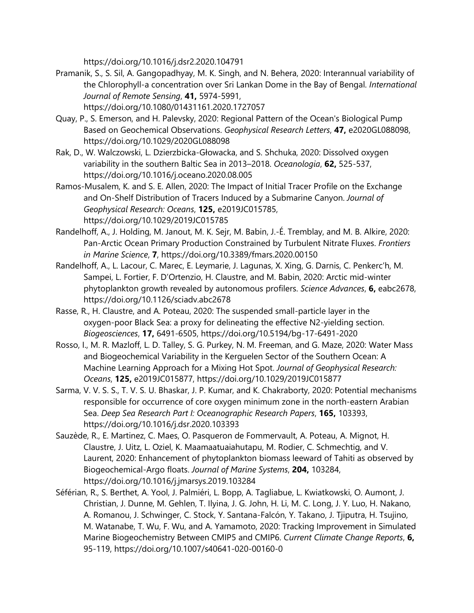https://doi.org/10.1016/j.dsr2.2020.104791

- Pramanik, S., S. Sil, A. Gangopadhyay, M. K. Singh, and N. Behera, 2020: Interannual variability of the Chlorophyll-a concentration over Sri Lankan Dome in the Bay of Bengal. *International Journal of Remote Sensing*, **41,** 5974-5991, https://doi.org/10.1080/01431161.2020.1727057
- Quay, P., S. Emerson, and H. Palevsky, 2020: Regional Pattern of the Ocean's Biological Pump Based on Geochemical Observations. *Geophysical Research Letters*, **47,** e2020GL088098, https://doi.org/10.1029/2020GL088098
- Rak, D., W. Walczowski, L. Dzierzbicka-Głowacka, and S. Shchuka, 2020: Dissolved oxygen variability in the southern Baltic Sea in 2013–2018. *Oceanologia*, **62,** 525-537, https://doi.org/10.1016/j.oceano.2020.08.005
- Ramos-Musalem, K. and S. E. Allen, 2020: The Impact of Initial Tracer Profile on the Exchange and On-Shelf Distribution of Tracers Induced by a Submarine Canyon. *Journal of Geophysical Research: Oceans*, **125,** e2019JC015785, https://doi.org/10.1029/2019JC015785
- Randelhoff, A., J. Holding, M. Janout, M. K. Sejr, M. Babin, J.-É. Tremblay, and M. B. Alkire, 2020: Pan-Arctic Ocean Primary Production Constrained by Turbulent Nitrate Fluxes. *Frontiers in Marine Science*, **7**, https://doi.org/10.3389/fmars.2020.00150
- Randelhoff, A., L. Lacour, C. Marec, E. Leymarie, J. Lagunas, X. Xing, G. Darnis, C. Penkerc'h, M. Sampei, L. Fortier, F. D'Ortenzio, H. Claustre, and M. Babin, 2020: Arctic mid-winter phytoplankton growth revealed by autonomous profilers. *Science Advances*, **6,** eabc2678, https://doi.org/10.1126/sciadv.abc2678
- Rasse, R., H. Claustre, and A. Poteau, 2020: The suspended small-particle layer in the oxygen-poor Black Sea: a proxy for delineating the effective N2-yielding section. *Biogeosciences*, **17,** 6491-6505, https://doi.org/10.5194/bg-17-6491-2020
- Rosso, I., M. R. Mazloff, L. D. Talley, S. G. Purkey, N. M. Freeman, and G. Maze, 2020: Water Mass and Biogeochemical Variability in the Kerguelen Sector of the Southern Ocean: A Machine Learning Approach for a Mixing Hot Spot. *Journal of Geophysical Research: Oceans*, **125,** e2019JC015877, https://doi.org/10.1029/2019JC015877
- Sarma, V. V. S. S., T. V. S. U. Bhaskar, J. P. Kumar, and K. Chakraborty, 2020: Potential mechanisms responsible for occurrence of core oxygen minimum zone in the north-eastern Arabian Sea. *Deep Sea Research Part I: Oceanographic Research Papers*, **165,** 103393, https://doi.org/10.1016/j.dsr.2020.103393
- Sauzède, R., E. Martinez, C. Maes, O. Pasqueron de Fommervault, A. Poteau, A. Mignot, H. Claustre, J. Uitz, L. Oziel, K. Maamaatuaiahutapu, M. Rodier, C. Schmechtig, and V. Laurent, 2020: Enhancement of phytoplankton biomass leeward of Tahiti as observed by Biogeochemical-Argo floats. *Journal of Marine Systems*, **204,** 103284, https://doi.org/10.1016/j.jmarsys.2019.103284
- Séférian, R., S. Berthet, A. Yool, J. Palmiéri, L. Bopp, A. Tagliabue, L. Kwiatkowski, O. Aumont, J. Christian, J. Dunne, M. Gehlen, T. Ilyina, J. G. John, H. Li, M. C. Long, J. Y. Luo, H. Nakano, A. Romanou, J. Schwinger, C. Stock, Y. Santana-Falcón, Y. Takano, J. Tjiputra, H. Tsujino, M. Watanabe, T. Wu, F. Wu, and A. Yamamoto, 2020: Tracking Improvement in Simulated Marine Biogeochemistry Between CMIP5 and CMIP6. *Current Climate Change Reports*, **6,** 95-119, https://doi.org/10.1007/s40641-020-00160-0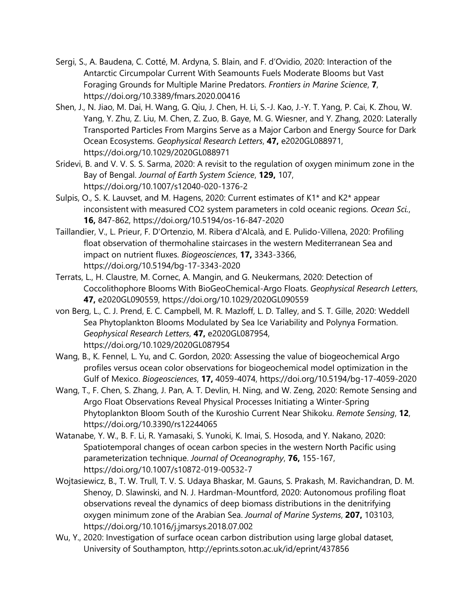- Sergi, S., A. Baudena, C. Cotté, M. Ardyna, S. Blain, and F. d'Ovidio, 2020: Interaction of the Antarctic Circumpolar Current With Seamounts Fuels Moderate Blooms but Vast Foraging Grounds for Multiple Marine Predators. *Frontiers in Marine Science*, **7**, https://doi.org/10.3389/fmars.2020.00416
- Shen, J., N. Jiao, M. Dai, H. Wang, G. Qiu, J. Chen, H. Li, S.-J. Kao, J.-Y. T. Yang, P. Cai, K. Zhou, W. Yang, Y. Zhu, Z. Liu, M. Chen, Z. Zuo, B. Gaye, M. G. Wiesner, and Y. Zhang, 2020: Laterally Transported Particles From Margins Serve as a Major Carbon and Energy Source for Dark Ocean Ecosystems. *Geophysical Research Letters*, **47,** e2020GL088971, https://doi.org/10.1029/2020GL088971
- Sridevi, B. and V. V. S. S. Sarma, 2020: A revisit to the regulation of oxygen minimum zone in the Bay of Bengal. *Journal of Earth System Science*, **129,** 107, https://doi.org/10.1007/s12040-020-1376-2
- Sulpis, O., S. K. Lauvset, and M. Hagens, 2020: Current estimates of K1\* and K2\* appear inconsistent with measured CO2 system parameters in cold oceanic regions. *Ocean Sci.*, **16,** 847-862, https://doi.org/10.5194/os-16-847-2020
- Taillandier, V., L. Prieur, F. D'Ortenzio, M. Ribera d'Alcalà, and E. Pulido-Villena, 2020: Profiling float observation of thermohaline staircases in the western Mediterranean Sea and impact on nutrient fluxes. *Biogeosciences*, **17,** 3343-3366, https://doi.org/10.5194/bg-17-3343-2020
- Terrats, L., H. Claustre, M. Cornec, A. Mangin, and G. Neukermans, 2020: Detection of Coccolithophore Blooms With BioGeoChemical-Argo Floats. *Geophysical Research Letters*, **47,** e2020GL090559, https://doi.org/10.1029/2020GL090559
- von Berg, L., C. J. Prend, E. C. Campbell, M. R. Mazloff, L. D. Talley, and S. T. Gille, 2020: Weddell Sea Phytoplankton Blooms Modulated by Sea Ice Variability and Polynya Formation. *Geophysical Research Letters*, **47,** e2020GL087954, https://doi.org/10.1029/2020GL087954
- Wang, B., K. Fennel, L. Yu, and C. Gordon, 2020: Assessing the value of biogeochemical Argo profiles versus ocean color observations for biogeochemical model optimization in the Gulf of Mexico. *Biogeosciences*, **17,** 4059-4074, https://doi.org/10.5194/bg-17-4059-2020
- Wang, T., F. Chen, S. Zhang, J. Pan, A. T. Devlin, H. Ning, and W. Zeng, 2020: Remote Sensing and Argo Float Observations Reveal Physical Processes Initiating a Winter-Spring Phytoplankton Bloom South of the Kuroshio Current Near Shikoku. *Remote Sensing*, **12**, https://doi.org/10.3390/rs12244065
- Watanabe, Y. W., B. F. Li, R. Yamasaki, S. Yunoki, K. Imai, S. Hosoda, and Y. Nakano, 2020: Spatiotemporal changes of ocean carbon species in the western North Pacific using parameterization technique. *Journal of Oceanography*, **76,** 155-167, https://doi.org/10.1007/s10872-019-00532-7
- Wojtasiewicz, B., T. W. Trull, T. V. S. Udaya Bhaskar, M. Gauns, S. Prakash, M. Ravichandran, D. M. Shenoy, D. Slawinski, and N. J. Hardman-Mountford, 2020: Autonomous profiling float observations reveal the dynamics of deep biomass distributions in the denitrifying oxygen minimum zone of the Arabian Sea. *Journal of Marine Systems*, **207,** 103103, https://doi.org/10.1016/j.jmarsys.2018.07.002
- Wu, Y., 2020: Investigation of surface ocean carbon distribution using large global dataset, University of Southampton, http://eprints.soton.ac.uk/id/eprint/437856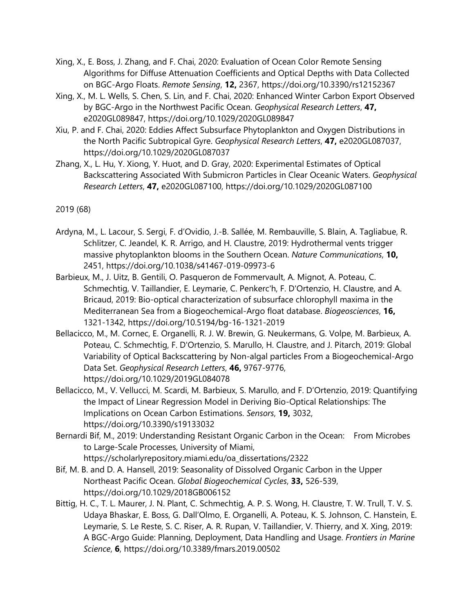- Xing, X., E. Boss, J. Zhang, and F. Chai, 2020: Evaluation of Ocean Color Remote Sensing Algorithms for Diffuse Attenuation Coefficients and Optical Depths with Data Collected on BGC-Argo Floats. *Remote Sensing*, **12,** 2367, https://doi.org/10.3390/rs12152367
- Xing, X., M. L. Wells, S. Chen, S. Lin, and F. Chai, 2020: Enhanced Winter Carbon Export Observed by BGC-Argo in the Northwest Pacific Ocean. *Geophysical Research Letters*, **47,** e2020GL089847, https://doi.org/10.1029/2020GL089847
- Xiu, P. and F. Chai, 2020: Eddies Affect Subsurface Phytoplankton and Oxygen Distributions in the North Pacific Subtropical Gyre. *Geophysical Research Letters*, **47,** e2020GL087037, https://doi.org/10.1029/2020GL087037
- Zhang, X., L. Hu, Y. Xiong, Y. Huot, and D. Gray, 2020: Experimental Estimates of Optical Backscattering Associated With Submicron Particles in Clear Oceanic Waters. *Geophysical Research Letters*, **47,** e2020GL087100, https://doi.org/10.1029/2020GL087100

2019 (68)

- Ardyna, M., L. Lacour, S. Sergi, F. d'Ovidio, J.-B. Sallée, M. Rembauville, S. Blain, A. Tagliabue, R. Schlitzer, C. Jeandel, K. R. Arrigo, and H. Claustre, 2019: Hydrothermal vents trigger massive phytoplankton blooms in the Southern Ocean. *Nature Communications*, **10,** 2451, https://doi.org/10.1038/s41467-019-09973-6
- Barbieux, M., J. Uitz, B. Gentili, O. Pasqueron de Fommervault, A. Mignot, A. Poteau, C. Schmechtig, V. Taillandier, E. Leymarie, C. Penkerc'h, F. D'Ortenzio, H. Claustre, and A. Bricaud, 2019: Bio-optical characterization of subsurface chlorophyll maxima in the Mediterranean Sea from a Biogeochemical-Argo float database. *Biogeosciences*, **16,** 1321-1342, https://doi.org/10.5194/bg-16-1321-2019
- Bellacicco, M., M. Cornec, E. Organelli, R. J. W. Brewin, G. Neukermans, G. Volpe, M. Barbieux, A. Poteau, C. Schmechtig, F. D'Ortenzio, S. Marullo, H. Claustre, and J. Pitarch, 2019: Global Variability of Optical Backscattering by Non-algal particles From a Biogeochemical-Argo Data Set. *Geophysical Research Letters*, **46,** 9767-9776, https://doi.org/10.1029/2019GL084078
- Bellacicco, M., V. Vellucci, M. Scardi, M. Barbieux, S. Marullo, and F. D'Ortenzio, 2019: Quantifying the Impact of Linear Regression Model in Deriving Bio-Optical Relationships: The Implications on Ocean Carbon Estimations. *Sensors*, **19,** 3032, https://doi.org/10.3390/s19133032
- Bernardi Bif, M., 2019: Understanding Resistant Organic Carbon in the Ocean: From Microbes to Large-Scale Processes, University of Miami, https://scholarlyrepository.miami.edu/oa\_dissertations/2322
- Bif, M. B. and D. A. Hansell, 2019: Seasonality of Dissolved Organic Carbon in the Upper Northeast Pacific Ocean. *Global Biogeochemical Cycles*, **33,** 526-539, https://doi.org/10.1029/2018GB006152
- Bittig, H. C., T. L. Maurer, J. N. Plant, C. Schmechtig, A. P. S. Wong, H. Claustre, T. W. Trull, T. V. S. Udaya Bhaskar, E. Boss, G. Dall'Olmo, E. Organelli, A. Poteau, K. S. Johnson, C. Hanstein, E. Leymarie, S. Le Reste, S. C. Riser, A. R. Rupan, V. Taillandier, V. Thierry, and X. Xing, 2019: A BGC-Argo Guide: Planning, Deployment, Data Handling and Usage. *Frontiers in Marine Science*, **6**, https://doi.org/10.3389/fmars.2019.00502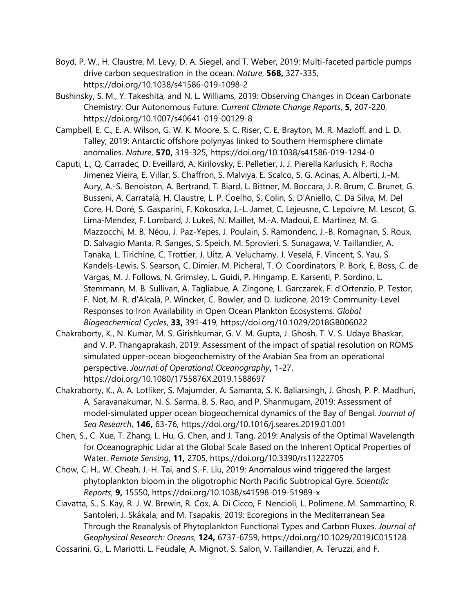- Boyd, P. W., H. Claustre, M. Levy, D. A. Siegel, and T. Weber, 2019: Multi-faceted particle pumps drive carbon sequestration in the ocean. *Nature*, **568,** 327-335, https://doi.org/10.1038/s41586-019-1098-2
- Bushinsky, S. M., Y. Takeshita, and N. L. Williams, 2019: Observing Changes in Ocean Carbonate Chemistry: Our Autonomous Future. *Current Climate Change Reports*, **5,** 207-220, https://doi.org/10.1007/s40641-019-00129-8
- Campbell, E. C., E. A. Wilson, G. W. K. Moore, S. C. Riser, C. E. Brayton, M. R. Mazloff, and L. D. Talley, 2019: Antarctic offshore polynyas linked to Southern Hemisphere climate anomalies. *Nature*, **570,** 319-325, https://doi.org/10.1038/s41586-019-1294-0
- Caputi, L., Q. Carradec, D. Eveillard, A. Kirilovsky, E. Pelletier, J. J. Pierella Karlusich, F. Rocha Jimenez Vieira, E. Villar, S. Chaffron, S. Malviya, E. Scalco, S. G. Acinas, A. Alberti, J.-M. Aury, A.-S. Benoiston, A. Bertrand, T. Biard, L. Bittner, M. Boccara, J. R. Brum, C. Brunet, G. Busseni, A. Carratalà, H. Claustre, L. P. Coelho, S. Colin, S. D'Aniello, C. Da Silva, M. Del Core, H. Doré, S. Gasparini, F. Kokoszka, J.-L. Jamet, C. Lejeusne, C. Lepoivre, M. Lescot, G. Lima-Mendez, F. Lombard, J. Lukeš, N. Maillet, M.-A. Madoui, E. Martinez, M. G. Mazzocchi, M. B. Néou, J. Paz-Yepes, J. Poulain, S. Ramondenc, J.-B. Romagnan, S. Roux, D. Salvagio Manta, R. Sanges, S. Speich, M. Sprovieri, S. Sunagawa, V. Taillandier, A. Tanaka, L. Tirichine, C. Trottier, J. Uitz, A. Veluchamy, J. Veselá, F. Vincent, S. Yau, S. Kandels-Lewis, S. Searson, C. Dimier, M. Picheral, T. O. Coordinators, P. Bork, E. Boss, C. de Vargas, M. J. Follows, N. Grimsley, L. Guidi, P. Hingamp, E. Karsenti, P. Sordino, L. Stemmann, M. B. Sullivan, A. Tagliabue, A. Zingone, L. Garczarek, F. d'Ortenzio, P. Testor, F. Not, M. R. d'Alcalà, P. Wincker, C. Bowler, and D. Iudicone, 2019: Community-Level Responses to Iron Availability in Open Ocean Plankton Ecosystems. *Global Biogeochemical Cycles*, **33,** 391-419, https://doi.org/10.1029/2018GB006022
- Chakraborty, K., N. Kumar, M. S. Girishkumar, G. V. M. Gupta, J. Ghosh, T. V. S. Udaya Bhaskar, and V. P. Thangaprakash, 2019: Assessment of the impact of spatial resolution on ROMS simulated upper-ocean biogeochemistry of the Arabian Sea from an operational perspective. *Journal of Operational Oceanography***,** 1-27, https://doi.org/10.1080/1755876X.2019.1588697
- Chakraborty, K., A. A. Lotliker, S. Majumder, A. Samanta, S. K. Baliarsingh, J. Ghosh, P. P. Madhuri, A. Saravanakumar, N. S. Sarma, B. S. Rao, and P. Shanmugam, 2019: Assessment of model-simulated upper ocean biogeochemical dynamics of the Bay of Bengal. *Journal of Sea Research*, **146,** 63-76, https://doi.org/10.1016/j.seares.2019.01.001
- Chen, S., C. Xue, T. Zhang, L. Hu, G. Chen, and J. Tang, 2019: Analysis of the Optimal Wavelength for Oceanographic Lidar at the Global Scale Based on the Inherent Optical Properties of Water. *Remote Sensing*, **11,** 2705, https://doi.org/10.3390/rs11222705
- Chow, C. H., W. Cheah, J.-H. Tai, and S.-F. Liu, 2019: Anomalous wind triggered the largest phytoplankton bloom in the oligotrophic North Pacific Subtropical Gyre. *Scientific Reports*, **9,** 15550, https://doi.org/10.1038/s41598-019-51989-x
- Ciavatta, S., S. Kay, R. J. W. Brewin, R. Cox, A. Di Cicco, F. Nencioli, L. Polimene, M. Sammartino, R. Santoleri, J. Skákala, and M. Tsapakis, 2019: Ecoregions in the Mediterranean Sea Through the Reanalysis of Phytoplankton Functional Types and Carbon Fluxes. *Journal of Geophysical Research: Oceans*, **124,** 6737-6759, https://doi.org/10.1029/2019JC015128
- Cossarini, G., L. Mariotti, L. Feudale, A. Mignot, S. Salon, V. Taillandier, A. Teruzzi, and F.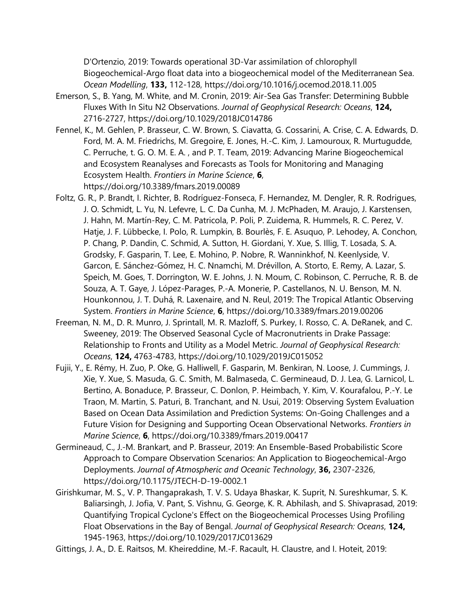D'Ortenzio, 2019: Towards operational 3D-Var assimilation of chlorophyll Biogeochemical-Argo float data into a biogeochemical model of the Mediterranean Sea. *Ocean Modelling*, **133,** 112-128, https://doi.org/10.1016/j.ocemod.2018.11.005

- Emerson, S., B. Yang, M. White, and M. Cronin, 2019: Air-Sea Gas Transfer: Determining Bubble Fluxes With In Situ N2 Observations. *Journal of Geophysical Research: Oceans*, **124,** 2716-2727, https://doi.org/10.1029/2018JC014786
- Fennel, K., M. Gehlen, P. Brasseur, C. W. Brown, S. Ciavatta, G. Cossarini, A. Crise, C. A. Edwards, D. Ford, M. A. M. Friedrichs, M. Gregoire, E. Jones, H.-C. Kim, J. Lamouroux, R. Murtugudde, C. Perruche, t. G. O. M. E. A. , and P. T. Team, 2019: Advancing Marine Biogeochemical and Ecosystem Reanalyses and Forecasts as Tools for Monitoring and Managing Ecosystem Health. *Frontiers in Marine Science*, **6**, https://doi.org/10.3389/fmars.2019.00089
- Foltz, G. R., P. Brandt, I. Richter, B. Rodríguez-Fonseca, F. Hernandez, M. Dengler, R. R. Rodrigues, J. O. Schmidt, L. Yu, N. Lefevre, L. C. Da Cunha, M. J. McPhaden, M. Araujo, J. Karstensen, J. Hahn, M. Martín-Rey, C. M. Patricola, P. Poli, P. Zuidema, R. Hummels, R. C. Perez, V. Hatje, J. F. Lübbecke, I. Polo, R. Lumpkin, B. Bourlès, F. E. Asuquo, P. Lehodey, A. Conchon, P. Chang, P. Dandin, C. Schmid, A. Sutton, H. Giordani, Y. Xue, S. Illig, T. Losada, S. A. Grodsky, F. Gasparin, T. Lee, E. Mohino, P. Nobre, R. Wanninkhof, N. Keenlyside, V. Garcon, E. Sánchez-Gómez, H. C. Nnamchi, M. Drévillon, A. Storto, E. Remy, A. Lazar, S. Speich, M. Goes, T. Dorrington, W. E. Johns, J. N. Moum, C. Robinson, C. Perruche, R. B. de Souza, A. T. Gaye, J. López-Parages, P.-A. Monerie, P. Castellanos, N. U. Benson, M. N. Hounkonnou, J. T. Duhá, R. Laxenaire, and N. Reul, 2019: The Tropical Atlantic Observing System. *Frontiers in Marine Science*, **6**, https://doi.org/10.3389/fmars.2019.00206
- Freeman, N. M., D. R. Munro, J. Sprintall, M. R. Mazloff, S. Purkey, I. Rosso, C. A. DeRanek, and C. Sweeney, 2019: The Observed Seasonal Cycle of Macronutrients in Drake Passage: Relationship to Fronts and Utility as a Model Metric. *Journal of Geophysical Research: Oceans*, **124,** 4763-4783, https://doi.org/10.1029/2019JC015052
- Fujii, Y., E. Rémy, H. Zuo, P. Oke, G. Halliwell, F. Gasparin, M. Benkiran, N. Loose, J. Cummings, J. Xie, Y. Xue, S. Masuda, G. C. Smith, M. Balmaseda, C. Germineaud, D. J. Lea, G. Larnicol, L. Bertino, A. Bonaduce, P. Brasseur, C. Donlon, P. Heimbach, Y. Kim, V. Kourafalou, P.-Y. Le Traon, M. Martin, S. Paturi, B. Tranchant, and N. Usui, 2019: Observing System Evaluation Based on Ocean Data Assimilation and Prediction Systems: On-Going Challenges and a Future Vision for Designing and Supporting Ocean Observational Networks. *Frontiers in Marine Science*, **6**, https://doi.org/10.3389/fmars.2019.00417
- Germineaud, C., J.-M. Brankart, and P. Brasseur, 2019: An Ensemble-Based Probabilistic Score Approach to Compare Observation Scenarios: An Application to Biogeochemical-Argo Deployments. *Journal of Atmospheric and Oceanic Technology*, **36,** 2307-2326, https://doi.org/10.1175/JTECH-D-19-0002.1
- Girishkumar, M. S., V. P. Thangaprakash, T. V. S. Udaya Bhaskar, K. Suprit, N. Sureshkumar, S. K. Baliarsingh, J. Jofia, V. Pant, S. Vishnu, G. George, K. R. Abhilash, and S. Shivaprasad, 2019: Quantifying Tropical Cyclone's Effect on the Biogeochemical Processes Using Profiling Float Observations in the Bay of Bengal. *Journal of Geophysical Research: Oceans*, **124,** 1945-1963, https://doi.org/10.1029/2017JC013629
- Gittings, J. A., D. E. Raitsos, M. Kheireddine, M.-F. Racault, H. Claustre, and I. Hoteit, 2019: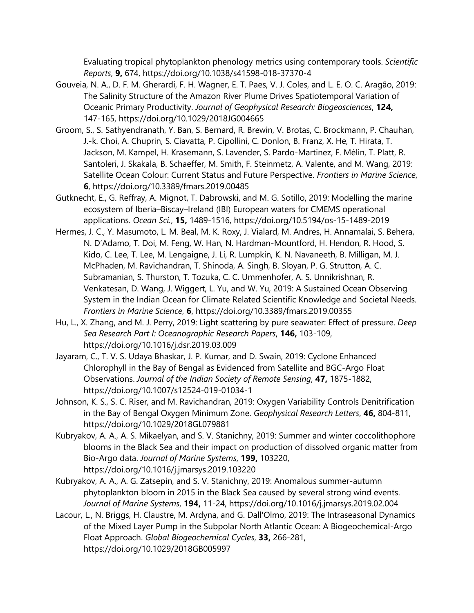Evaluating tropical phytoplankton phenology metrics using contemporary tools. *Scientific Reports*, **9,** 674, https://doi.org/10.1038/s41598-018-37370-4

- Gouveia, N. A., D. F. M. Gherardi, F. H. Wagner, E. T. Paes, V. J. Coles, and L. E. O. C. Aragão, 2019: The Salinity Structure of the Amazon River Plume Drives Spatiotemporal Variation of Oceanic Primary Productivity. *Journal of Geophysical Research: Biogeosciences*, **124,** 147-165, https://doi.org/10.1029/2018JG004665
- Groom, S., S. Sathyendranath, Y. Ban, S. Bernard, R. Brewin, V. Brotas, C. Brockmann, P. Chauhan, J.-k. Choi, A. Chuprin, S. Ciavatta, P. Cipollini, C. Donlon, B. Franz, X. He, T. Hirata, T. Jackson, M. Kampel, H. Krasemann, S. Lavender, S. Pardo-Martinez, F. Mélin, T. Platt, R. Santoleri, J. Skakala, B. Schaeffer, M. Smith, F. Steinmetz, A. Valente, and M. Wang, 2019: Satellite Ocean Colour: Current Status and Future Perspective. *Frontiers in Marine Science*, **6**, https://doi.org/10.3389/fmars.2019.00485
- Gutknecht, E., G. Reffray, A. Mignot, T. Dabrowski, and M. G. Sotillo, 2019: Modelling the marine ecosystem of Iberia–Biscay–Ireland (IBI) European waters for CMEMS operational applications. *Ocean Sci.*, **15,** 1489-1516, https://doi.org/10.5194/os-15-1489-2019
- Hermes, J. C., Y. Masumoto, L. M. Beal, M. K. Roxy, J. Vialard, M. Andres, H. Annamalai, S. Behera, N. D'Adamo, T. Doi, M. Feng, W. Han, N. Hardman-Mountford, H. Hendon, R. Hood, S. Kido, C. Lee, T. Lee, M. Lengaigne, J. Li, R. Lumpkin, K. N. Navaneeth, B. Milligan, M. J. McPhaden, M. Ravichandran, T. Shinoda, A. Singh, B. Sloyan, P. G. Strutton, A. C. Subramanian, S. Thurston, T. Tozuka, C. C. Ummenhofer, A. S. Unnikrishnan, R. Venkatesan, D. Wang, J. Wiggert, L. Yu, and W. Yu, 2019: A Sustained Ocean Observing System in the Indian Ocean for Climate Related Scientific Knowledge and Societal Needs. *Frontiers in Marine Science*, **6**, https://doi.org/10.3389/fmars.2019.00355
- Hu, L., X. Zhang, and M. J. Perry, 2019: Light scattering by pure seawater: Effect of pressure. *Deep Sea Research Part I: Oceanographic Research Papers*, **146,** 103-109, https://doi.org/10.1016/j.dsr.2019.03.009
- Jayaram, C., T. V. S. Udaya Bhaskar, J. P. Kumar, and D. Swain, 2019: Cyclone Enhanced Chlorophyll in the Bay of Bengal as Evidenced from Satellite and BGC-Argo Float Observations. *Journal of the Indian Society of Remote Sensing*, **47,** 1875-1882, https://doi.org/10.1007/s12524-019-01034-1
- Johnson, K. S., S. C. Riser, and M. Ravichandran, 2019: Oxygen Variability Controls Denitrification in the Bay of Bengal Oxygen Minimum Zone. *Geophysical Research Letters*, **46,** 804-811, https://doi.org/10.1029/2018GL079881
- Kubryakov, A. A., A. S. Mikaelyan, and S. V. Stanichny, 2019: Summer and winter coccolithophore blooms in the Black Sea and their impact on production of dissolved organic matter from Bio-Argo data. *Journal of Marine Systems*, **199,** 103220, https://doi.org/10.1016/j.jmarsys.2019.103220
- Kubryakov, A. A., A. G. Zatsepin, and S. V. Stanichny, 2019: Anomalous summer-autumn phytoplankton bloom in 2015 in the Black Sea caused by several strong wind events. *Journal of Marine Systems*, **194,** 11-24, https://doi.org/10.1016/j.jmarsys.2019.02.004
- Lacour, L., N. Briggs, H. Claustre, M. Ardyna, and G. Dall'Olmo, 2019: The Intraseasonal Dynamics of the Mixed Layer Pump in the Subpolar North Atlantic Ocean: A Biogeochemical-Argo Float Approach. *Global Biogeochemical Cycles*, **33,** 266-281, https://doi.org/10.1029/2018GB005997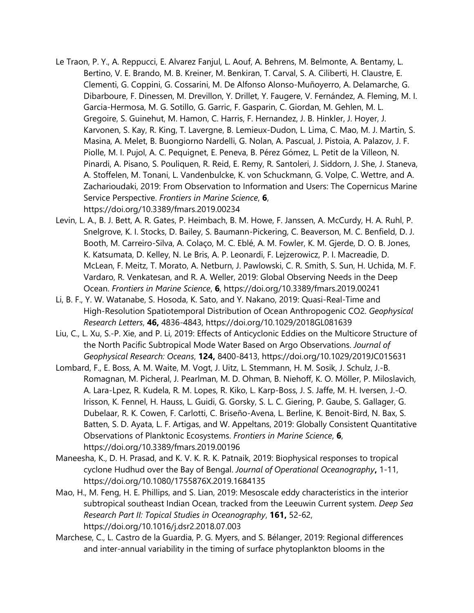- Le Traon, P. Y., A. Reppucci, E. Alvarez Fanjul, L. Aouf, A. Behrens, M. Belmonte, A. Bentamy, L. Bertino, V. E. Brando, M. B. Kreiner, M. Benkiran, T. Carval, S. A. Ciliberti, H. Claustre, E. Clementi, G. Coppini, G. Cossarini, M. De Alfonso Alonso-Muñoyerro, A. Delamarche, G. Dibarboure, F. Dinessen, M. Drevillon, Y. Drillet, Y. Faugere, V. Fernández, A. Fleming, M. I. Garcia-Hermosa, M. G. Sotillo, G. Garric, F. Gasparin, C. Giordan, M. Gehlen, M. L. Gregoire, S. Guinehut, M. Hamon, C. Harris, F. Hernandez, J. B. Hinkler, J. Hoyer, J. Karvonen, S. Kay, R. King, T. Lavergne, B. Lemieux-Dudon, L. Lima, C. Mao, M. J. Martin, S. Masina, A. Melet, B. Buongiorno Nardelli, G. Nolan, A. Pascual, J. Pistoia, A. Palazov, J. F. Piolle, M. I. Pujol, A. C. Pequignet, E. Peneva, B. Pérez Gómez, L. Petit de la Villeon, N. Pinardi, A. Pisano, S. Pouliquen, R. Reid, E. Remy, R. Santoleri, J. Siddorn, J. She, J. Staneva, A. Stoffelen, M. Tonani, L. Vandenbulcke, K. von Schuckmann, G. Volpe, C. Wettre, and A. Zacharioudaki, 2019: From Observation to Information and Users: The Copernicus Marine Service Perspective. *Frontiers in Marine Science*, **6**, https://doi.org/10.3389/fmars.2019.00234
- Levin, L. A., B. J. Bett, A. R. Gates, P. Heimbach, B. M. Howe, F. Janssen, A. McCurdy, H. A. Ruhl, P. Snelgrove, K. I. Stocks, D. Bailey, S. Baumann-Pickering, C. Beaverson, M. C. Benfield, D. J. Booth, M. Carreiro-Silva, A. Colaço, M. C. Eblé, A. M. Fowler, K. M. Gjerde, D. O. B. Jones, K. Katsumata, D. Kelley, N. Le Bris, A. P. Leonardi, F. Lejzerowicz, P. I. Macreadie, D. McLean, F. Meitz, T. Morato, A. Netburn, J. Pawlowski, C. R. Smith, S. Sun, H. Uchida, M. F. Vardaro, R. Venkatesan, and R. A. Weller, 2019: Global Observing Needs in the Deep Ocean. *Frontiers in Marine Science*, **6**, https://doi.org/10.3389/fmars.2019.00241
- Li, B. F., Y. W. Watanabe, S. Hosoda, K. Sato, and Y. Nakano, 2019: Quasi-Real-Time and High-Resolution Spatiotemporal Distribution of Ocean Anthropogenic CO2. *Geophysical Research Letters*, **46,** 4836-4843, https://doi.org/10.1029/2018GL081639
- Liu, C., L. Xu, S.-P. Xie, and P. Li, 2019: Effects of Anticyclonic Eddies on the Multicore Structure of the North Pacific Subtropical Mode Water Based on Argo Observations. *Journal of Geophysical Research: Oceans*, **124,** 8400-8413, https://doi.org/10.1029/2019JC015631
- Lombard, F., E. Boss, A. M. Waite, M. Vogt, J. Uitz, L. Stemmann, H. M. Sosik, J. Schulz, J.-B. Romagnan, M. Picheral, J. Pearlman, M. D. Ohman, B. Niehoff, K. O. Möller, P. Miloslavich, A. Lara-Lpez, R. Kudela, R. M. Lopes, R. Kiko, L. Karp-Boss, J. S. Jaffe, M. H. Iversen, J.-O. Irisson, K. Fennel, H. Hauss, L. Guidi, G. Gorsky, S. L. C. Giering, P. Gaube, S. Gallager, G. Dubelaar, R. K. Cowen, F. Carlotti, C. Briseño-Avena, L. Berline, K. Benoit-Bird, N. Bax, S. Batten, S. D. Ayata, L. F. Artigas, and W. Appeltans, 2019: Globally Consistent Quantitative Observations of Planktonic Ecosystems. *Frontiers in Marine Science*, **6**, https://doi.org/10.3389/fmars.2019.00196
- Maneesha, K., D. H. Prasad, and K. V. K. R. K. Patnaik, 2019: Biophysical responses to tropical cyclone Hudhud over the Bay of Bengal. *Journal of Operational Oceanography***,** 1-11, https://doi.org/10.1080/1755876X.2019.1684135
- Mao, H., M. Feng, H. E. Phillips, and S. Lian, 2019: Mesoscale eddy characteristics in the interior subtropical southeast Indian Ocean, tracked from the Leeuwin Current system. *Deep Sea Research Part II: Topical Studies in Oceanography*, **161,** 52-62, https://doi.org/10.1016/j.dsr2.2018.07.003
- Marchese, C., L. Castro de la Guardia, P. G. Myers, and S. Bélanger, 2019: Regional differences and inter-annual variability in the timing of surface phytoplankton blooms in the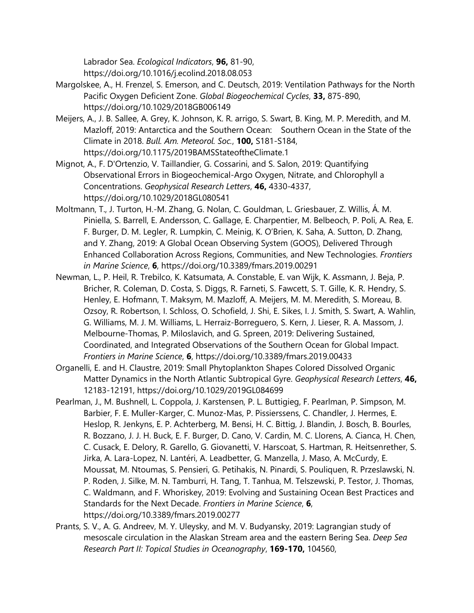Labrador Sea. *Ecological Indicators*, **96,** 81-90, https://doi.org/10.1016/j.ecolind.2018.08.053

- Margolskee, A., H. Frenzel, S. Emerson, and C. Deutsch, 2019: Ventilation Pathways for the North Pacific Oxygen Deficient Zone. *Global Biogeochemical Cycles*, **33,** 875-890, https://doi.org/10.1029/2018GB006149
- Meijers, A., J. B. Sallee, A. Grey, K. Johnson, K. R. arrigo, S. Swart, B. King, M. P. Meredith, and M. Mazloff, 2019: Antarctica and the Southern Ocean: Southern Ocean in the State of the Climate in 2018. *Bull. Am. Meteorol. Soc.*, **100,** S181-S184, https://doi.org/10.1175/2019BAMSStateoftheClimate.1
- Mignot, A., F. D'Ortenzio, V. Taillandier, G. Cossarini, and S. Salon, 2019: Quantifying Observational Errors in Biogeochemical-Argo Oxygen, Nitrate, and Chlorophyll a Concentrations. *Geophysical Research Letters*, **46,** 4330-4337, https://doi.org/10.1029/2018GL080541
- Moltmann, T., J. Turton, H.-M. Zhang, G. Nolan, C. Gouldman, L. Griesbauer, Z. Willis, Á. M. Piniella, S. Barrell, E. Andersson, C. Gallage, E. Charpentier, M. Belbeoch, P. Poli, A. Rea, E. F. Burger, D. M. Legler, R. Lumpkin, C. Meinig, K. O'Brien, K. Saha, A. Sutton, D. Zhang, and Y. Zhang, 2019: A Global Ocean Observing System (GOOS), Delivered Through Enhanced Collaboration Across Regions, Communities, and New Technologies. *Frontiers in Marine Science*, **6**, https://doi.org/10.3389/fmars.2019.00291
- Newman, L., P. Heil, R. Trebilco, K. Katsumata, A. Constable, E. van Wijk, K. Assmann, J. Beja, P. Bricher, R. Coleman, D. Costa, S. Diggs, R. Farneti, S. Fawcett, S. T. Gille, K. R. Hendry, S. Henley, E. Hofmann, T. Maksym, M. Mazloff, A. Meijers, M. M. Meredith, S. Moreau, B. Ozsoy, R. Robertson, I. Schloss, O. Schofield, J. Shi, E. Sikes, I. J. Smith, S. Swart, A. Wahlin, G. Williams, M. J. M. Williams, L. Herraiz-Borreguero, S. Kern, J. Lieser, R. A. Massom, J. Melbourne-Thomas, P. Miloslavich, and G. Spreen, 2019: Delivering Sustained, Coordinated, and Integrated Observations of the Southern Ocean for Global Impact. *Frontiers in Marine Science*, **6**, https://doi.org/10.3389/fmars.2019.00433
- Organelli, E. and H. Claustre, 2019: Small Phytoplankton Shapes Colored Dissolved Organic Matter Dynamics in the North Atlantic Subtropical Gyre. *Geophysical Research Letters*, **46,** 12183-12191, https://doi.org/10.1029/2019GL084699
- Pearlman, J., M. Bushnell, L. Coppola, J. Karstensen, P. L. Buttigieg, F. Pearlman, P. Simpson, M. Barbier, F. E. Muller-Karger, C. Munoz-Mas, P. Pissierssens, C. Chandler, J. Hermes, E. Heslop, R. Jenkyns, E. P. Achterberg, M. Bensi, H. C. Bittig, J. Blandin, J. Bosch, B. Bourles, R. Bozzano, J. J. H. Buck, E. F. Burger, D. Cano, V. Cardin, M. C. Llorens, A. Cianca, H. Chen, C. Cusack, E. Delory, R. Garello, G. Giovanetti, V. Harscoat, S. Hartman, R. Heitsenrether, S. Jirka, A. Lara-Lopez, N. Lantéri, A. Leadbetter, G. Manzella, J. Maso, A. McCurdy, E. Moussat, M. Ntoumas, S. Pensieri, G. Petihakis, N. Pinardi, S. Pouliquen, R. Przeslawski, N. P. Roden, J. Silke, M. N. Tamburri, H. Tang, T. Tanhua, M. Telszewski, P. Testor, J. Thomas, C. Waldmann, and F. Whoriskey, 2019: Evolving and Sustaining Ocean Best Practices and Standards for the Next Decade. *Frontiers in Marine Science*, **6**, https://doi.org/10.3389/fmars.2019.00277
- Prants, S. V., A. G. Andreev, M. Y. Uleysky, and M. V. Budyansky, 2019: Lagrangian study of mesoscale circulation in the Alaskan Stream area and the eastern Bering Sea. *Deep Sea Research Part II: Topical Studies in Oceanography*, **169-170,** 104560,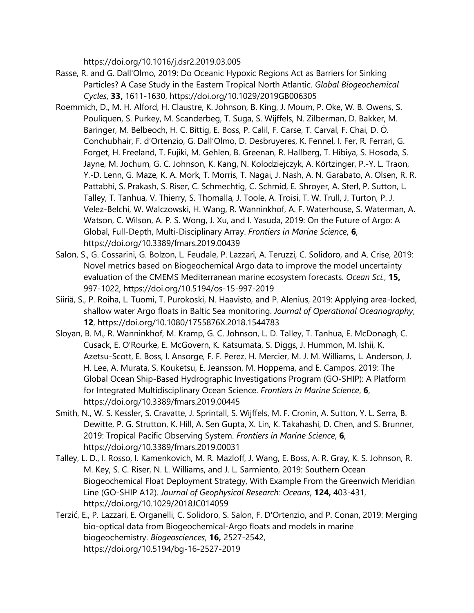https://doi.org/10.1016/j.dsr2.2019.03.005

- Rasse, R. and G. Dall'Olmo, 2019: Do Oceanic Hypoxic Regions Act as Barriers for Sinking Particles? A Case Study in the Eastern Tropical North Atlantic. *Global Biogeochemical Cycles*, **33,** 1611-1630, https://doi.org/10.1029/2019GB006305
- Roemmich, D., M. H. Alford, H. Claustre, K. Johnson, B. King, J. Moum, P. Oke, W. B. Owens, S. Pouliquen, S. Purkey, M. Scanderbeg, T. Suga, S. Wijffels, N. Zilberman, D. Bakker, M. Baringer, M. Belbeoch, H. C. Bittig, E. Boss, P. Calil, F. Carse, T. Carval, F. Chai, D. Ó. Conchubhair, F. d'Ortenzio, G. Dall'Olmo, D. Desbruyeres, K. Fennel, I. Fer, R. Ferrari, G. Forget, H. Freeland, T. Fujiki, M. Gehlen, B. Greenan, R. Hallberg, T. Hibiya, S. Hosoda, S. Jayne, M. Jochum, G. C. Johnson, K. Kang, N. Kolodziejczyk, A. Körtzinger, P.-Y. L. Traon, Y.-D. Lenn, G. Maze, K. A. Mork, T. Morris, T. Nagai, J. Nash, A. N. Garabato, A. Olsen, R. R. Pattabhi, S. Prakash, S. Riser, C. Schmechtig, C. Schmid, E. Shroyer, A. Sterl, P. Sutton, L. Talley, T. Tanhua, V. Thierry, S. Thomalla, J. Toole, A. Troisi, T. W. Trull, J. Turton, P. J. Velez-Belchi, W. Walczowski, H. Wang, R. Wanninkhof, A. F. Waterhouse, S. Waterman, A. Watson, C. Wilson, A. P. S. Wong, J. Xu, and I. Yasuda, 2019: On the Future of Argo: A Global, Full-Depth, Multi-Disciplinary Array. *Frontiers in Marine Science*, **6**, https://doi.org/10.3389/fmars.2019.00439
- Salon, S., G. Cossarini, G. Bolzon, L. Feudale, P. Lazzari, A. Teruzzi, C. Solidoro, and A. Crise, 2019: Novel metrics based on Biogeochemical Argo data to improve the model uncertainty evaluation of the CMEMS Mediterranean marine ecosystem forecasts. *Ocean Sci.*, **15,** 997-1022, https://doi.org/10.5194/os-15-997-2019
- Siiriä, S., P. Roiha, L. Tuomi, T. Purokoski, N. Haavisto, and P. Alenius, 2019: Applying area-locked, shallow water Argo floats in Baltic Sea monitoring. *Journal of Operational Oceanography*, **12**, https://doi.org/10.1080/1755876X.2018.1544783
- Sloyan, B. M., R. Wanninkhof, M. Kramp, G. C. Johnson, L. D. Talley, T. Tanhua, E. McDonagh, C. Cusack, E. O'Rourke, E. McGovern, K. Katsumata, S. Diggs, J. Hummon, M. Ishii, K. Azetsu-Scott, E. Boss, I. Ansorge, F. F. Perez, H. Mercier, M. J. M. Williams, L. Anderson, J. H. Lee, A. Murata, S. Kouketsu, E. Jeansson, M. Hoppema, and E. Campos, 2019: The Global Ocean Ship-Based Hydrographic Investigations Program (GO-SHIP): A Platform for Integrated Multidisciplinary Ocean Science. *Frontiers in Marine Science*, **6**, https://doi.org/10.3389/fmars.2019.00445
- Smith, N., W. S. Kessler, S. Cravatte, J. Sprintall, S. Wijffels, M. F. Cronin, A. Sutton, Y. L. Serra, B. Dewitte, P. G. Strutton, K. Hill, A. Sen Gupta, X. Lin, K. Takahashi, D. Chen, and S. Brunner, 2019: Tropical Pacific Observing System. *Frontiers in Marine Science*, **6**, https://doi.org/10.3389/fmars.2019.00031
- Talley, L. D., I. Rosso, I. Kamenkovich, M. R. Mazloff, J. Wang, E. Boss, A. R. Gray, K. S. Johnson, R. M. Key, S. C. Riser, N. L. Williams, and J. L. Sarmiento, 2019: Southern Ocean Biogeochemical Float Deployment Strategy, With Example From the Greenwich Meridian Line (GO-SHIP A12). *Journal of Geophysical Research: Oceans*, **124,** 403-431, https://doi.org/10.1029/2018JC014059
- Terzić, E., P. Lazzari, E. Organelli, C. Solidoro, S. Salon, F. D'Ortenzio, and P. Conan, 2019: Merging bio-optical data from Biogeochemical-Argo floats and models in marine biogeochemistry. *Biogeosciences*, **16,** 2527-2542, https://doi.org/10.5194/bg-16-2527-2019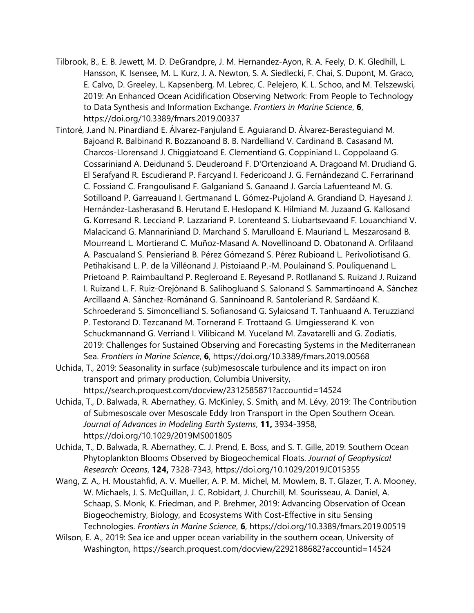- Tilbrook, B., E. B. Jewett, M. D. DeGrandpre, J. M. Hernandez-Ayon, R. A. Feely, D. K. Gledhill, L. Hansson, K. Isensee, M. L. Kurz, J. A. Newton, S. A. Siedlecki, F. Chai, S. Dupont, M. Graco, E. Calvo, D. Greeley, L. Kapsenberg, M. Lebrec, C. Pelejero, K. L. Schoo, and M. Telszewski, 2019: An Enhanced Ocean Acidification Observing Network: From People to Technology to Data Synthesis and Information Exchange. *Frontiers in Marine Science*, **6**, https://doi.org/10.3389/fmars.2019.00337
- Tintoré, J.and N. Pinardiand E. Álvarez-Fanjuland E. Aguiarand D. Álvarez-Berasteguiand M. Bajoand R. Balbinand R. Bozzanoand B. B. Nardelliand V. Cardinand B. Casasand M. Charcos-Llorensand J. Chiggiatoand E. Clementiand G. Coppiniand L. Coppolaand G. Cossariniand A. Deidunand S. Deuderoand F. D'Ortenzioand A. Dragoand M. Drudiand G. El Serafyand R. Escudierand P. Farcyand I. Federicoand J. G. Fernándezand C. Ferrarinand C. Fossiand C. Frangoulisand F. Galganiand S. Ganaand J. García Lafuenteand M. G. Sotilloand P. Garreauand I. Gertmanand L. Gómez-Pujoland A. Grandiand D. Hayesand J. Hernández-Lasherasand B. Herutand E. Heslopand K. Hilmiand M. Juzaand G. Kallosand G. Korresand R. Lecciand P. Lazzariand P. Lorenteand S. Liubartsevaand F. Louanchiand V. Malacicand G. Mannariniand D. Marchand S. Marulloand E. Mauriand L. Meszarosand B. Mourreand L. Mortierand C. Muñoz-Masand A. Novellinoand D. Obatonand A. Orfilaand A. Pascualand S. Pensieriand B. Pérez Gómezand S. Pérez Rubioand L. Perivoliotisand G. Petihakisand L. P. de la Villéonand J. Pistoiaand P.-M. Poulainand S. Pouliquenand L. Prietoand P. Raimbaultand P. Regleroand E. Reyesand P. Rotllanand S. Ruizand J. Ruizand I. Ruizand L. F. Ruiz-Orejónand B. Salihogluand S. Salonand S. Sammartinoand A. Sánchez Arcillaand A. Sánchez-Románand G. Sanninoand R. Santoleriand R. Sardáand K. Schroederand S. Simoncelliand S. Sofianosand G. Sylaiosand T. Tanhuaand A. Teruzziand P. Testorand D. Tezcanand M. Tornerand F. Trottaand G. Umgiesserand K. von Schuckmannand G. Verriand I. Vilibicand M. Yuceland M. Zavatarelli and G. Zodiatis, 2019: Challenges for Sustained Observing and Forecasting Systems in the Mediterranean Sea. *Frontiers in Marine Science*, **6**, https://doi.org/10.3389/fmars.2019.00568
- Uchida, T., 2019: Seasonality in surface (sub)mesoscale turbulence and its impact on iron transport and primary production, Columbia University, https://search.proquest.com/docview/2312585871?accountid=14524
- Uchida, T., D. Balwada, R. Abernathey, G. McKinley, S. Smith, and M. Lévy, 2019: The Contribution of Submesoscale over Mesoscale Eddy Iron Transport in the Open Southern Ocean. *Journal of Advances in Modeling Earth Systems*, **11,** 3934-3958, https://doi.org/10.1029/2019MS001805
- Uchida, T., D. Balwada, R. Abernathey, C. J. Prend, E. Boss, and S. T. Gille, 2019: Southern Ocean Phytoplankton Blooms Observed by Biogeochemical Floats. *Journal of Geophysical Research: Oceans*, **124,** 7328-7343, https://doi.org/10.1029/2019JC015355
- Wang, Z. A., H. Moustahfid, A. V. Mueller, A. P. M. Michel, M. Mowlem, B. T. Glazer, T. A. Mooney, W. Michaels, J. S. McQuillan, J. C. Robidart, J. Churchill, M. Sourisseau, A. Daniel, A. Schaap, S. Monk, K. Friedman, and P. Brehmer, 2019: Advancing Observation of Ocean Biogeochemistry, Biology, and Ecosystems With Cost-Effective in situ Sensing Technologies. *Frontiers in Marine Science*, **6**, https://doi.org/10.3389/fmars.2019.00519
- Wilson, E. A., 2019: Sea ice and upper ocean variability in the southern ocean, University of Washington, https://search.proquest.com/docview/2292188682?accountid=14524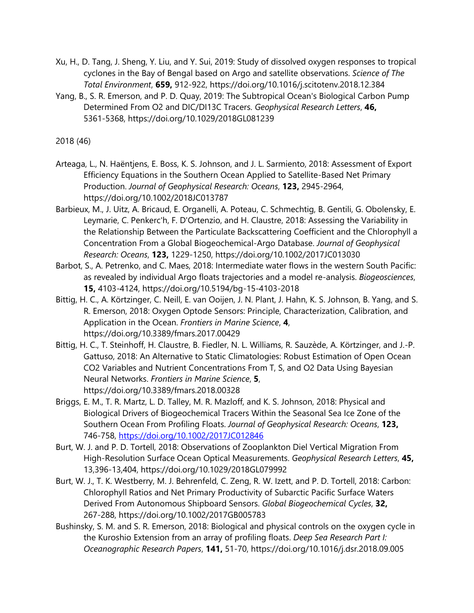- Xu, H., D. Tang, J. Sheng, Y. Liu, and Y. Sui, 2019: Study of dissolved oxygen responses to tropical cyclones in the Bay of Bengal based on Argo and satellite observations. *Science of The Total Environment*, **659,** 912-922, https://doi.org/10.1016/j.scitotenv.2018.12.384
- Yang, B., S. R. Emerson, and P. D. Quay, 2019: The Subtropical Ocean's Biological Carbon Pump Determined From O2 and DIC/DI13C Tracers. *Geophysical Research Letters*, **46,** 5361-5368, https://doi.org/10.1029/2018GL081239

2018 (46)

- Arteaga, L., N. Haëntjens, E. Boss, K. S. Johnson, and J. L. Sarmiento, 2018: Assessment of Export Efficiency Equations in the Southern Ocean Applied to Satellite-Based Net Primary Production. *Journal of Geophysical Research: Oceans*, **123,** 2945-2964, https://doi.org/10.1002/2018JC013787
- Barbieux, M., J. Uitz, A. Bricaud, E. Organelli, A. Poteau, C. Schmechtig, B. Gentili, G. Obolensky, E. Leymarie, C. Penkerc'h, F. D'Ortenzio, and H. Claustre, 2018: Assessing the Variability in the Relationship Between the Particulate Backscattering Coefficient and the Chlorophyll a Concentration From a Global Biogeochemical‐Argo Database. *Journal of Geophysical Research: Oceans*, **123,** 1229-1250, https://doi.org/10.1002/2017JC013030
- Barbot, S., A. Petrenko, and C. Maes, 2018: Intermediate water flows in the western South Pacific: as revealed by individual Argo floats trajectories and a model re-analysis. *Biogeosciences*, **15,** 4103-4124, https://doi.org/10.5194/bg-15-4103-2018
- Bittig, H. C., A. Körtzinger, C. Neill, E. van Ooijen, J. N. Plant, J. Hahn, K. S. Johnson, B. Yang, and S. R. Emerson, 2018: Oxygen Optode Sensors: Principle, Characterization, Calibration, and Application in the Ocean. *Frontiers in Marine Science*, **4**, https://doi.org/10.3389/fmars.2017.00429
- Bittig, H. C., T. Steinhoff, H. Claustre, B. Fiedler, N. L. Williams, R. Sauzède, A. Körtzinger, and J.-P. Gattuso, 2018: An Alternative to Static Climatologies: Robust Estimation of Open Ocean CO2 Variables and Nutrient Concentrations From T, S, and O2 Data Using Bayesian Neural Networks. *Frontiers in Marine Science*, **5**, https://doi.org/10.3389/fmars.2018.00328
- Briggs, E. M., T. R. Martz, L. D. Talley, M. R. Mazloff, and K. S. Johnson, 2018: Physical and Biological Drivers of Biogeochemical Tracers Within the Seasonal Sea Ice Zone of the Southern Ocean From Profiling Floats. *Journal of Geophysical Research: Oceans*, **123,** 746-758,<https://doi.org/10.1002/2017JC012846>
- Burt, W. J. and P. D. Tortell, 2018: Observations of Zooplankton Diel Vertical Migration From High-Resolution Surface Ocean Optical Measurements. *Geophysical Research Letters*, **45,** 13,396-13,404, https://doi.org/10.1029/2018GL079992
- Burt, W. J., T. K. Westberry, M. J. Behrenfeld, C. Zeng, R. W. Izett, and P. D. Tortell, 2018: Carbon: Chlorophyll Ratios and Net Primary Productivity of Subarctic Pacific Surface Waters Derived From Autonomous Shipboard Sensors. *Global Biogeochemical Cycles*, **32,** 267-288, https://doi.org/10.1002/2017GB005783
- Bushinsky, S. M. and S. R. Emerson, 2018: Biological and physical controls on the oxygen cycle in the Kuroshio Extension from an array of profiling floats. *Deep Sea Research Part I: Oceanographic Research Papers*, **141,** 51-70, https://doi.org/10.1016/j.dsr.2018.09.005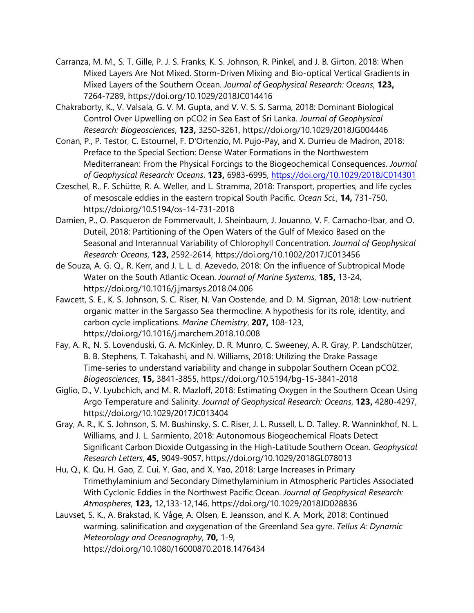- Carranza, M. M., S. T. Gille, P. J. S. Franks, K. S. Johnson, R. Pinkel, and J. B. Girton, 2018: When Mixed Layers Are Not Mixed. Storm-Driven Mixing and Bio-optical Vertical Gradients in Mixed Layers of the Southern Ocean. *Journal of Geophysical Research: Oceans*, **123,** 7264-7289, https://doi.org/10.1029/2018JC014416
- Chakraborty, K., V. Valsala, G. V. M. Gupta, and V. V. S. S. Sarma, 2018: Dominant Biological Control Over Upwelling on pCO2 in Sea East of Sri Lanka. *Journal of Geophysical Research: Biogeosciences*, **123,** 3250-3261, https://doi.org/10.1029/2018JG004446
- Conan, P., P. Testor, C. Estournel, F. D'Ortenzio, M. Pujo-Pay, and X. Durrieu de Madron, 2018: Preface to the Special Section: Dense Water Formations in the Northwestern Mediterranean: From the Physical Forcings to the Biogeochemical Consequences. *Journal of Geophysical Research: Oceans*, **123,** 6983-6995,<https://doi.org/10.1029/2018JC014301>
- Czeschel, R., F. Schütte, R. A. Weller, and L. Stramma, 2018: Transport, properties, and life cycles of mesoscale eddies in the eastern tropical South Pacific. *Ocean Sci.*, **14,** 731-750, https://doi.org/10.5194/os-14-731-2018
- Damien, P., O. Pasqueron de Fommervault, J. Sheinbaum, J. Jouanno, V. F. Camacho-Ibar, and O. Duteil, 2018: Partitioning of the Open Waters of the Gulf of Mexico Based on the Seasonal and Interannual Variability of Chlorophyll Concentration. *Journal of Geophysical Research: Oceans*, **123,** 2592-2614, https://doi.org/10.1002/2017JC013456
- de Souza, A. G. Q., R. Kerr, and J. L. L. d. Azevedo, 2018: On the influence of Subtropical Mode Water on the South Atlantic Ocean. *Journal of Marine Systems*, **185,** 13-24, https://doi.org/10.1016/j.jmarsys.2018.04.006
- Fawcett, S. E., K. S. Johnson, S. C. Riser, N. Van Oostende, and D. M. Sigman, 2018: Low-nutrient organic matter in the Sargasso Sea thermocline: A hypothesis for its role, identity, and carbon cycle implications. *Marine Chemistry*, **207,** 108-123, https://doi.org/10.1016/j.marchem.2018.10.008
- Fay, A. R., N. S. Lovenduski, G. A. McKinley, D. R. Munro, C. Sweeney, A. R. Gray, P. Landschützer, B. B. Stephens, T. Takahashi, and N. Williams, 2018: Utilizing the Drake Passage Time-series to understand variability and change in subpolar Southern Ocean pCO2. *Biogeosciences*, **15,** 3841-3855, https://doi.org/10.5194/bg-15-3841-2018
- Giglio, D., V. Lyubchich, and M. R. Mazloff, 2018: Estimating Oxygen in the Southern Ocean Using Argo Temperature and Salinity. *Journal of Geophysical Research: Oceans*, **123,** 4280-4297, https://doi.org/10.1029/2017JC013404
- Gray, A. R., K. S. Johnson, S. M. Bushinsky, S. C. Riser, J. L. Russell, L. D. Talley, R. Wanninkhof, N. L. Williams, and J. L. Sarmiento, 2018: Autonomous Biogeochemical Floats Detect Significant Carbon Dioxide Outgassing in the High-Latitude Southern Ocean. *Geophysical Research Letters*, **45,** 9049-9057, https://doi.org/10.1029/2018GL078013
- Hu, Q., K. Qu, H. Gao, Z. Cui, Y. Gao, and X. Yao, 2018: Large Increases in Primary Trimethylaminium and Secondary Dimethylaminium in Atmospheric Particles Associated With Cyclonic Eddies in the Northwest Pacific Ocean. *Journal of Geophysical Research: Atmospheres*, **123,** 12,133-12,146, https://doi.org/10.1029/2018JD028836
- Lauvset, S. K., A. Brakstad, K. Våge, A. Olsen, E. Jeansson, and K. A. Mork, 2018: Continued warming, salinification and oxygenation of the Greenland Sea gyre. *Tellus A: Dynamic Meteorology and Oceanography*, **70,** 1-9, https://doi.org/10.1080/16000870.2018.1476434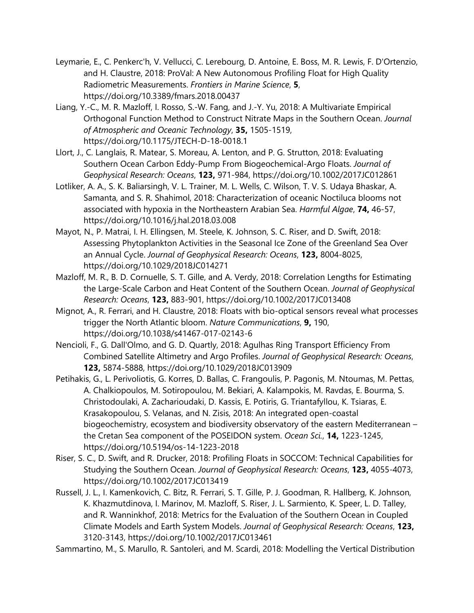- Leymarie, E., C. Penkerc'h, V. Vellucci, C. Lerebourg, D. Antoine, E. Boss, M. R. Lewis, F. D'Ortenzio, and H. Claustre, 2018: ProVal: A New Autonomous Profiling Float for High Quality Radiometric Measurements. *Frontiers in Marine Science*, **5**, https://doi.org/10.3389/fmars.2018.00437
- Liang, Y.-C., M. R. Mazloff, I. Rosso, S.-W. Fang, and J.-Y. Yu, 2018: A Multivariate Empirical Orthogonal Function Method to Construct Nitrate Maps in the Southern Ocean. *Journal of Atmospheric and Oceanic Technology*, **35,** 1505-1519, https://doi.org/10.1175/JTECH-D-18-0018.1
- Llort, J., C. Langlais, R. Matear, S. Moreau, A. Lenton, and P. G. Strutton, 2018: Evaluating Southern Ocean Carbon Eddy‐Pump From Biogeochemical‐Argo Floats. *Journal of Geophysical Research: Oceans*, **123,** 971-984, https://doi.org/10.1002/2017JC012861
- Lotliker, A. A., S. K. Baliarsingh, V. L. Trainer, M. L. Wells, C. Wilson, T. V. S. Udaya Bhaskar, A. Samanta, and S. R. Shahimol, 2018: Characterization of oceanic Noctiluca blooms not associated with hypoxia in the Northeastern Arabian Sea. *Harmful Algae*, **74,** 46-57, https://doi.org/10.1016/j.hal.2018.03.008
- Mayot, N., P. Matrai, I. H. Ellingsen, M. Steele, K. Johnson, S. C. Riser, and D. Swift, 2018: Assessing Phytoplankton Activities in the Seasonal Ice Zone of the Greenland Sea Over an Annual Cycle. *Journal of Geophysical Research: Oceans*, **123,** 8004-8025, https://doi.org/10.1029/2018JC014271
- Mazloff, M. R., B. D. Cornuelle, S. T. Gille, and A. Verdy, 2018: Correlation Lengths for Estimating the Large‐Scale Carbon and Heat Content of the Southern Ocean. *Journal of Geophysical Research: Oceans*, **123,** 883-901, https://doi.org/10.1002/2017JC013408
- Mignot, A., R. Ferrari, and H. Claustre, 2018: Floats with bio-optical sensors reveal what processes trigger the North Atlantic bloom. *Nature Communications*, **9,** 190, https://doi.org/10.1038/s41467-017-02143-6
- Nencioli, F., G. Dall'Olmo, and G. D. Quartly, 2018: Agulhas Ring Transport Efficiency From Combined Satellite Altimetry and Argo Profiles. *Journal of Geophysical Research: Oceans*, **123,** 5874-5888, https://doi.org/10.1029/2018JC013909
- Petihakis, G., L. Perivoliotis, G. Korres, D. Ballas, C. Frangoulis, P. Pagonis, M. Ntoumas, M. Pettas, A. Chalkiopoulos, M. Sotiropoulou, M. Bekiari, A. Kalampokis, M. Ravdas, E. Bourma, S. Christodoulaki, A. Zacharioudaki, D. Kassis, E. Potiris, G. Triantafyllou, K. Tsiaras, E. Krasakopoulou, S. Velanas, and N. Zisis, 2018: An integrated open-coastal biogeochemistry, ecosystem and biodiversity observatory of the eastern Mediterranean – the Cretan Sea component of the POSEIDON system. *Ocean Sci.*, **14,** 1223-1245, https://doi.org/10.5194/os-14-1223-2018
- Riser, S. C., D. Swift, and R. Drucker, 2018: Profiling Floats in SOCCOM: Technical Capabilities for Studying the Southern Ocean. *Journal of Geophysical Research: Oceans*, **123,** 4055-4073, https://doi.org/10.1002/2017JC013419
- Russell, J. L., I. Kamenkovich, C. Bitz, R. Ferrari, S. T. Gille, P. J. Goodman, R. Hallberg, K. Johnson, K. Khazmutdinova, I. Marinov, M. Mazloff, S. Riser, J. L. Sarmiento, K. Speer, L. D. Talley, and R. Wanninkhof, 2018: Metrics for the Evaluation of the Southern Ocean in Coupled Climate Models and Earth System Models. *Journal of Geophysical Research: Oceans*, **123,** 3120-3143, https://doi.org/10.1002/2017JC013461

Sammartino, M., S. Marullo, R. Santoleri, and M. Scardi, 2018: Modelling the Vertical Distribution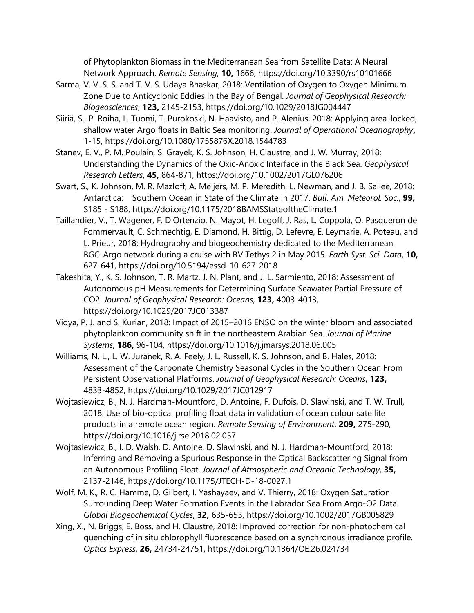of Phytoplankton Biomass in the Mediterranean Sea from Satellite Data: A Neural Network Approach. *Remote Sensing*, **10,** 1666, https://doi.org/10.3390/rs10101666

- Sarma, V. V. S. S. and T. V. S. Udaya Bhaskar, 2018: Ventilation of Oxygen to Oxygen Minimum Zone Due to Anticyclonic Eddies in the Bay of Bengal. *Journal of Geophysical Research: Biogeosciences*, **123,** 2145-2153, https://doi.org/10.1029/2018JG004447
- Siiriä, S., P. Roiha, L. Tuomi, T. Purokoski, N. Haavisto, and P. Alenius, 2018: Applying area-locked, shallow water Argo floats in Baltic Sea monitoring. *Journal of Operational Oceanography***,** 1-15, https://doi.org/10.1080/1755876X.2018.1544783
- Stanev, E. V., P. M. Poulain, S. Grayek, K. S. Johnson, H. Claustre, and J. W. Murray, 2018: Understanding the Dynamics of the Oxic‐Anoxic Interface in the Black Sea. *Geophysical Research Letters*, **45,** 864-871, https://doi.org/10.1002/2017GL076206
- Swart, S., K. Johnson, M. R. Mazloff, A. Meijers, M. P. Meredith, L. Newman, and J. B. Sallee, 2018: Antarctica: Southern Ocean in State of the Climate in 2017. *Bull. Am. Meteorol. Soc.*, **99,** S185 - S188, https://doi.org/10.1175/2018BAMSStateoftheClimate.1
- Taillandier, V., T. Wagener, F. D'Ortenzio, N. Mayot, H. Legoff, J. Ras, L. Coppola, O. Pasqueron de Fommervault, C. Schmechtig, E. Diamond, H. Bittig, D. Lefevre, E. Leymarie, A. Poteau, and L. Prieur, 2018: Hydrography and biogeochemistry dedicated to the Mediterranean BGC-Argo network during a cruise with RV Tethys 2 in May 2015. *Earth Syst. Sci. Data*, **10,** 627-641, https://doi.org/10.5194/essd-10-627-2018
- Takeshita, Y., K. S. Johnson, T. R. Martz, J. N. Plant, and J. L. Sarmiento, 2018: Assessment of Autonomous pH Measurements for Determining Surface Seawater Partial Pressure of CO2. *Journal of Geophysical Research: Oceans*, **123,** 4003-4013, https://doi.org/10.1029/2017JC013387
- Vidya, P. J. and S. Kurian, 2018: Impact of 2015–2016 ENSO on the winter bloom and associated phytoplankton community shift in the northeastern Arabian Sea. *Journal of Marine Systems*, **186,** 96-104, https://doi.org/10.1016/j.jmarsys.2018.06.005
- Williams, N. L., L. W. Juranek, R. A. Feely, J. L. Russell, K. S. Johnson, and B. Hales, 2018: Assessment of the Carbonate Chemistry Seasonal Cycles in the Southern Ocean From Persistent Observational Platforms. *Journal of Geophysical Research: Oceans*, **123,** 4833-4852, https://doi.org/10.1029/2017JC012917
- Wojtasiewicz, B., N. J. Hardman-Mountford, D. Antoine, F. Dufois, D. Slawinski, and T. W. Trull, 2018: Use of bio-optical profiling float data in validation of ocean colour satellite products in a remote ocean region. *Remote Sensing of Environment*, **209,** 275-290, https://doi.org/10.1016/j.rse.2018.02.057
- Wojtasiewicz, B., I. D. Walsh, D. Antoine, D. Slawinski, and N. J. Hardman-Mountford, 2018: Inferring and Removing a Spurious Response in the Optical Backscattering Signal from an Autonomous Profiling Float. *Journal of Atmospheric and Oceanic Technology*, **35,** 2137-2146, https://doi.org/10.1175/JTECH-D-18-0027.1
- Wolf, M. K., R. C. Hamme, D. Gilbert, I. Yashayaev, and V. Thierry, 2018: Oxygen Saturation Surrounding Deep Water Formation Events in the Labrador Sea From Argo-O2 Data. *Global Biogeochemical Cycles*, **32,** 635-653, https://doi.org/10.1002/2017GB005829
- Xing, X., N. Briggs, E. Boss, and H. Claustre, 2018: Improved correction for non-photochemical quenching of in situ chlorophyll fluorescence based on a synchronous irradiance profile. *Optics Express*, **26,** 24734-24751, https://doi.org/10.1364/OE.26.024734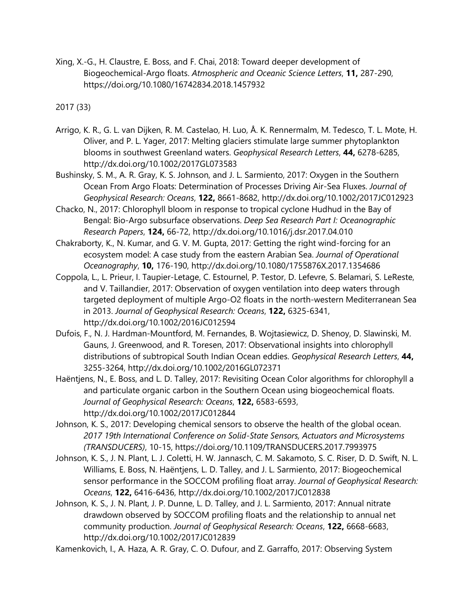Xing, X.-G., H. Claustre, E. Boss, and F. Chai, 2018: Toward deeper development of Biogeochemical-Argo floats. *Atmospheric and Oceanic Science Letters*, **11,** 287-290, https://doi.org/10.1080/16742834.2018.1457932

2017 (33)

- Arrigo, K. R., G. L. van Dijken, R. M. Castelao, H. Luo, Å. K. Rennermalm, M. Tedesco, T. L. Mote, H. Oliver, and P. L. Yager, 2017: Melting glaciers stimulate large summer phytoplankton blooms in southwest Greenland waters. *Geophysical Research Letters*, **44,** 6278-6285, http://dx.doi.org/10.1002/2017GL073583
- Bushinsky, S. M., A. R. Gray, K. S. Johnson, and J. L. Sarmiento, 2017: Oxygen in the Southern Ocean From Argo Floats: Determination of Processes Driving Air-Sea Fluxes. *Journal of Geophysical Research: Oceans*, **122,** 8661-8682, http://dx.doi.org/10.1002/2017JC012923
- Chacko, N., 2017: Chlorophyll bloom in response to tropical cyclone Hudhud in the Bay of Bengal: Bio-Argo subsurface observations. *Deep Sea Research Part I: Oceanographic Research Papers*, **124,** 66-72, http://dx.doi.org/10.1016/j.dsr.2017.04.010
- Chakraborty, K., N. Kumar, and G. V. M. Gupta, 2017: Getting the right wind-forcing for an ecosystem model: A case study from the eastern Arabian Sea. *Journal of Operational Oceanography*, **10,** 176-190, http://dx.doi.org/10.1080/1755876X.2017.1354686
- Coppola, L., L. Prieur, I. Taupier-Letage, C. Estournel, P. Testor, D. Lefevre, S. Belamari, S. LeReste, and V. Taillandier, 2017: Observation of oxygen ventilation into deep waters through targeted deployment of multiple Argo-O2 floats in the north-western Mediterranean Sea in 2013. *Journal of Geophysical Research: Oceans*, **122,** 6325-6341, http://dx.doi.org/10.1002/2016JC012594
- Dufois, F., N. J. Hardman-Mountford, M. Fernandes, B. Wojtasiewicz, D. Shenoy, D. Slawinski, M. Gauns, J. Greenwood, and R. Toresen, 2017: Observational insights into chlorophyll distributions of subtropical South Indian Ocean eddies. *Geophysical Research Letters*, **44,** 3255-3264, http://dx.doi.org/10.1002/2016GL072371
- Haëntjens, N., E. Boss, and L. D. Talley, 2017: Revisiting Ocean Color algorithms for chlorophyll a and particulate organic carbon in the Southern Ocean using biogeochemical floats. *Journal of Geophysical Research: Oceans*, **122,** 6583-6593, http://dx.doi.org/10.1002/2017JC012844
- Johnson, K. S., 2017: Developing chemical sensors to observe the health of the global ocean. *2017 19th International Conference on Solid-State Sensors, Actuators and Microsystems (TRANSDUCERS)*, 10-15, https://doi.org/10.1109/TRANSDUCERS.2017.7993975
- Johnson, K. S., J. N. Plant, L. J. Coletti, H. W. Jannasch, C. M. Sakamoto, S. C. Riser, D. D. Swift, N. L. Williams, E. Boss, N. Haëntjens, L. D. Talley, and J. L. Sarmiento, 2017: Biogeochemical sensor performance in the SOCCOM profiling float array. *Journal of Geophysical Research: Oceans*, **122,** 6416-6436, http://dx.doi.org/10.1002/2017JC012838
- Johnson, K. S., J. N. Plant, J. P. Dunne, L. D. Talley, and J. L. Sarmiento, 2017: Annual nitrate drawdown observed by SOCCOM profiling floats and the relationship to annual net community production. *Journal of Geophysical Research: Oceans*, **122,** 6668-6683, http://dx.doi.org/10.1002/2017JC012839

Kamenkovich, I., A. Haza, A. R. Gray, C. O. Dufour, and Z. Garraffo, 2017: Observing System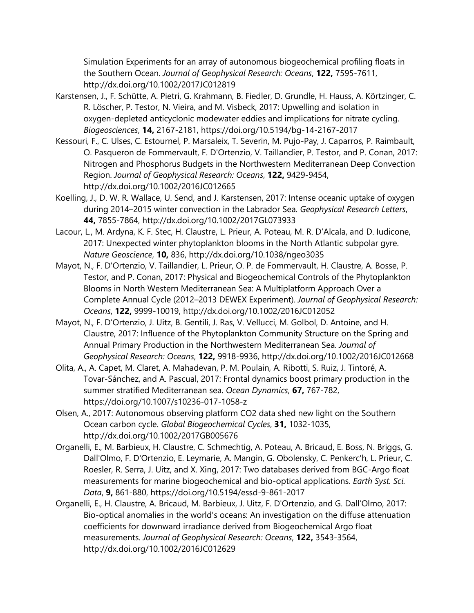Simulation Experiments for an array of autonomous biogeochemical profiling floats in the Southern Ocean. *Journal of Geophysical Research: Oceans*, **122,** 7595-7611, http://dx.doi.org/10.1002/2017JC012819

- Karstensen, J., F. Schütte, A. Pietri, G. Krahmann, B. Fiedler, D. Grundle, H. Hauss, A. Körtzinger, C. R. Löscher, P. Testor, N. Vieira, and M. Visbeck, 2017: Upwelling and isolation in oxygen-depleted anticyclonic modewater eddies and implications for nitrate cycling. *Biogeosciences*, **14,** 2167-2181, https://doi.org/10.5194/bg-14-2167-2017
- Kessouri, F., C. Ulses, C. Estournel, P. Marsaleix, T. Severin, M. Pujo-Pay, J. Caparros, P. Raimbault, O. Pasqueron de Fommervault, F. D'Ortenzio, V. Taillandier, P. Testor, and P. Conan, 2017: Nitrogen and Phosphorus Budgets in the Northwestern Mediterranean Deep Convection Region. *Journal of Geophysical Research: Oceans*, **122,** 9429-9454, http://dx.doi.org/10.1002/2016JC012665
- Koelling, J., D. W. R. Wallace, U. Send, and J. Karstensen, 2017: Intense oceanic uptake of oxygen during 2014–2015 winter convection in the Labrador Sea. *Geophysical Research Letters*, **44,** 7855-7864, http://dx.doi.org/10.1002/2017GL073933
- Lacour, L., M. Ardyna, K. F. Stec, H. Claustre, L. Prieur, A. Poteau, M. R. D'Alcala, and D. Iudicone, 2017: Unexpected winter phytoplankton blooms in the North Atlantic subpolar gyre. *Nature Geoscience*, **10,** 836, http://dx.doi.org/10.1038/ngeo3035
- Mayot, N., F. D'Ortenzio, V. Taillandier, L. Prieur, O. P. de Fommervault, H. Claustre, A. Bosse, P. Testor, and P. Conan, 2017: Physical and Biogeochemical Controls of the Phytoplankton Blooms in North Western Mediterranean Sea: A Multiplatform Approach Over a Complete Annual Cycle (2012–2013 DEWEX Experiment). *Journal of Geophysical Research: Oceans*, **122,** 9999-10019, http://dx.doi.org/10.1002/2016JC012052
- Mayot, N., F. D'Ortenzio, J. Uitz, B. Gentili, J. Ras, V. Vellucci, M. Golbol, D. Antoine, and H. Claustre, 2017: Influence of the Phytoplankton Community Structure on the Spring and Annual Primary Production in the Northwestern Mediterranean Sea. *Journal of Geophysical Research: Oceans*, **122,** 9918-9936, http://dx.doi.org/10.1002/2016JC012668
- Olita, A., A. Capet, M. Claret, A. Mahadevan, P. M. Poulain, A. Ribotti, S. Ruiz, J. Tintoré, A. Tovar-Sánchez, and A. Pascual, 2017: Frontal dynamics boost primary production in the summer stratified Mediterranean sea. *Ocean Dynamics*, **67,** 767-782, https://doi.org/10.1007/s10236-017-1058-z
- Olsen, A., 2017: Autonomous observing platform CO2 data shed new light on the Southern Ocean carbon cycle. *Global Biogeochemical Cycles*, **31,** 1032-1035, http://dx.doi.org/10.1002/2017GB005676
- Organelli, E., M. Barbieux, H. Claustre, C. Schmechtig, A. Poteau, A. Bricaud, E. Boss, N. Briggs, G. Dall'Olmo, F. D'Ortenzio, E. Leymarie, A. Mangin, G. Obolensky, C. Penkerc'h, L. Prieur, C. Roesler, R. Serra, J. Uitz, and X. Xing, 2017: Two databases derived from BGC-Argo float measurements for marine biogeochemical and bio-optical applications. *Earth Syst. Sci. Data*, **9,** 861-880, https://doi.org/10.5194/essd-9-861-2017
- Organelli, E., H. Claustre, A. Bricaud, M. Barbieux, J. Uitz, F. D'Ortenzio, and G. Dall'Olmo, 2017: Bio-optical anomalies in the world's oceans: An investigation on the diffuse attenuation coefficients for downward irradiance derived from Biogeochemical Argo float measurements. *Journal of Geophysical Research: Oceans*, **122,** 3543-3564, http://dx.doi.org/10.1002/2016JC012629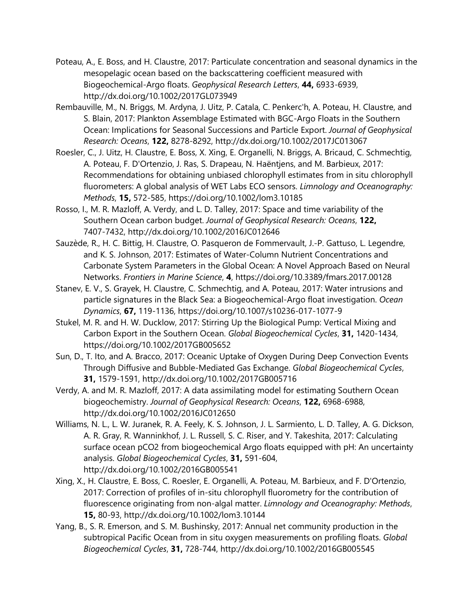- Poteau, A., E. Boss, and H. Claustre, 2017: Particulate concentration and seasonal dynamics in the mesopelagic ocean based on the backscattering coefficient measured with Biogeochemical-Argo floats. *Geophysical Research Letters*, **44,** 6933-6939, http://dx.doi.org/10.1002/2017GL073949
- Rembauville, M., N. Briggs, M. Ardyna, J. Uitz, P. Catala, C. Penkerc'h, A. Poteau, H. Claustre, and S. Blain, 2017: Plankton Assemblage Estimated with BGC-Argo Floats in the Southern Ocean: Implications for Seasonal Successions and Particle Export. *Journal of Geophysical Research: Oceans*, **122,** 8278-8292, http://dx.doi.org/10.1002/2017JC013067
- Roesler, C., J. Uitz, H. Claustre, E. Boss, X. Xing, E. Organelli, N. Briggs, A. Bricaud, C. Schmechtig, A. Poteau, F. D'Ortenzio, J. Ras, S. Drapeau, N. Haëntjens, and M. Barbieux, 2017: Recommendations for obtaining unbiased chlorophyll estimates from in situ chlorophyll fluorometers: A global analysis of WET Labs ECO sensors. *Limnology and Oceanography: Methods*, **15,** 572-585, https://doi.org/10.1002/lom3.10185
- Rosso, I., M. R. Mazloff, A. Verdy, and L. D. Talley, 2017: Space and time variability of the Southern Ocean carbon budget. *Journal of Geophysical Research: Oceans*, **122,** 7407-7432, http://dx.doi.org/10.1002/2016JC012646
- Sauzède, R., H. C. Bittig, H. Claustre, O. Pasqueron de Fommervault, J.-P. Gattuso, L. Legendre, and K. S. Johnson, 2017: Estimates of Water-Column Nutrient Concentrations and Carbonate System Parameters in the Global Ocean: A Novel Approach Based on Neural Networks. *Frontiers in Marine Science*, **4**, https://doi.org/10.3389/fmars.2017.00128
- Stanev, E. V., S. Grayek, H. Claustre, C. Schmechtig, and A. Poteau, 2017: Water intrusions and particle signatures in the Black Sea: a Biogeochemical-Argo float investigation. *Ocean Dynamics*, **67,** 119-1136, https://doi.org/10.1007/s10236-017-1077-9
- Stukel, M. R. and H. W. Ducklow, 2017: Stirring Up the Biological Pump: Vertical Mixing and Carbon Export in the Southern Ocean. *Global Biogeochemical Cycles*, **31,** 1420-1434, https://doi.org/10.1002/2017GB005652
- Sun, D., T. Ito, and A. Bracco, 2017: Oceanic Uptake of Oxygen During Deep Convection Events Through Diffusive and Bubble-Mediated Gas Exchange. *Global Biogeochemical Cycles*, **31,** 1579-1591, http://dx.doi.org/10.1002/2017GB005716
- Verdy, A. and M. R. Mazloff, 2017: A data assimilating model for estimating Southern Ocean biogeochemistry. *Journal of Geophysical Research: Oceans*, **122,** 6968-6988, http://dx.doi.org/10.1002/2016JC012650
- Williams, N. L., L. W. Juranek, R. A. Feely, K. S. Johnson, J. L. Sarmiento, L. D. Talley, A. G. Dickson, A. R. Gray, R. Wanninkhof, J. L. Russell, S. C. Riser, and Y. Takeshita, 2017: Calculating surface ocean pCO2 from biogeochemical Argo floats equipped with pH: An uncertainty analysis. *Global Biogeochemical Cycles*, **31,** 591-604, http://dx.doi.org/10.1002/2016GB005541
- Xing, X., H. Claustre, E. Boss, C. Roesler, E. Organelli, A. Poteau, M. Barbieux, and F. D'Ortenzio, 2017: Correction of profiles of in-situ chlorophyll fluorometry for the contribution of fluorescence originating from non-algal matter. *Limnology and Oceanography: Methods*, **15,** 80-93, http://dx.doi.org/10.1002/lom3.10144
- Yang, B., S. R. Emerson, and S. M. Bushinsky, 2017: Annual net community production in the subtropical Pacific Ocean from in situ oxygen measurements on profiling floats. *Global Biogeochemical Cycles*, **31,** 728-744, http://dx.doi.org/10.1002/2016GB005545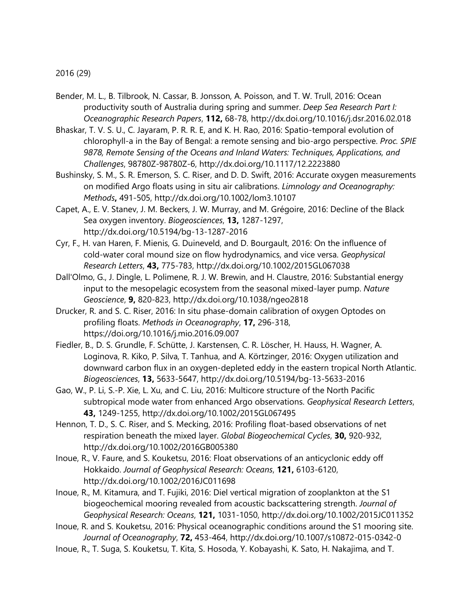2016 (29)

- Bender, M. L., B. Tilbrook, N. Cassar, B. Jonsson, A. Poisson, and T. W. Trull, 2016: Ocean productivity south of Australia during spring and summer. *Deep Sea Research Part I: Oceanographic Research Papers*, **112,** 68-78, http://dx.doi.org/10.1016/j.dsr.2016.02.018
- Bhaskar, T. V. S. U., C. Jayaram, P. R. R. E, and K. H. Rao, 2016: Spatio-temporal evolution of chlorophyll-a in the Bay of Bengal: a remote sensing and bio-argo perspective. *Proc. SPIE 9878, Remote Sensing of the Oceans and Inland Waters: Techniques, Applications, and Challenges*, 98780Z-98780Z-6, http://dx.doi.org/10.1117/12.2223880
- Bushinsky, S. M., S. R. Emerson, S. C. Riser, and D. D. Swift, 2016: Accurate oxygen measurements on modified Argo floats using in situ air calibrations. *Limnology and Oceanography: Methods***,** 491-505, http://dx.doi.org/10.1002/lom3.10107
- Capet, A., E. V. Stanev, J. M. Beckers, J. W. Murray, and M. Grégoire, 2016: Decline of the Black Sea oxygen inventory. *Biogeosciences*, **13,** 1287-1297, http://dx.doi.org/10.5194/bg-13-1287-2016
- Cyr, F., H. van Haren, F. Mienis, G. Duineveld, and D. Bourgault, 2016: On the influence of cold-water coral mound size on flow hydrodynamics, and vice versa. *Geophysical Research Letters*, **43,** 775-783, http://dx.doi.org/10.1002/2015GL067038
- Dall'Olmo, G., J. Dingle, L. Polimene, R. J. W. Brewin, and H. Claustre, 2016: Substantial energy input to the mesopelagic ecosystem from the seasonal mixed-layer pump. *Nature Geoscience*, **9,** 820-823, http://dx.doi.org/10.1038/ngeo2818
- Drucker, R. and S. C. Riser, 2016: In situ phase-domain calibration of oxygen Optodes on profiling floats. *Methods in Oceanography*, **17,** 296-318, https://doi.org/10.1016/j.mio.2016.09.007
- Fiedler, B., D. S. Grundle, F. Schütte, J. Karstensen, C. R. Löscher, H. Hauss, H. Wagner, A. Loginova, R. Kiko, P. Silva, T. Tanhua, and A. Körtzinger, 2016: Oxygen utilization and downward carbon flux in an oxygen-depleted eddy in the eastern tropical North Atlantic. *Biogeosciences*, **13,** 5633-5647, http://dx.doi.org/10.5194/bg-13-5633-2016
- Gao, W., P. Li, S.-P. Xie, L. Xu, and C. Liu, 2016: Multicore structure of the North Pacific subtropical mode water from enhanced Argo observations. *Geophysical Research Letters*, **43,** 1249-1255, http://dx.doi.org/10.1002/2015GL067495
- Hennon, T. D., S. C. Riser, and S. Mecking, 2016: Profiling float-based observations of net respiration beneath the mixed layer. *Global Biogeochemical Cycles*, **30,** 920-932, http://dx.doi.org/10.1002/2016GB005380
- Inoue, R., V. Faure, and S. Kouketsu, 2016: Float observations of an anticyclonic eddy off Hokkaido. *Journal of Geophysical Research: Oceans*, **121,** 6103-6120, http://dx.doi.org/10.1002/2016JC011698
- Inoue, R., M. Kitamura, and T. Fujiki, 2016: Diel vertical migration of zooplankton at the S1 biogeochemical mooring revealed from acoustic backscattering strength. *Journal of Geophysical Research: Oceans*, **121,** 1031-1050, http://dx.doi.org/10.1002/2015JC011352
- Inoue, R. and S. Kouketsu, 2016: Physical oceanographic conditions around the S1 mooring site. *Journal of Oceanography*, **72,** 453-464, http://dx.doi.org/10.1007/s10872-015-0342-0
- Inoue, R., T. Suga, S. Kouketsu, T. Kita, S. Hosoda, Y. Kobayashi, K. Sato, H. Nakajima, and T.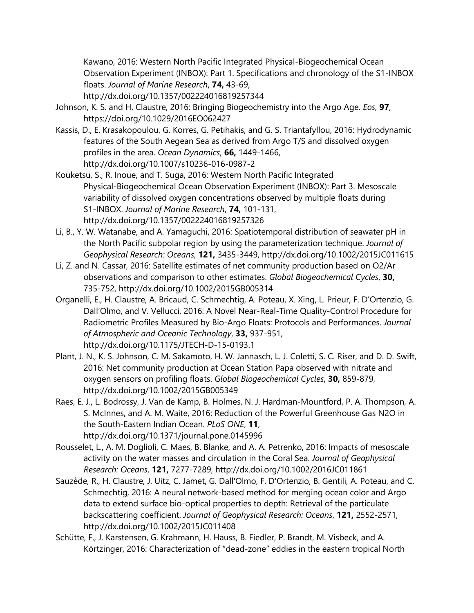Kawano, 2016: Western North Pacific Integrated Physical-Biogeochemical Ocean Observation Experiment (INBOX): Part 1. Specifications and chronology of the S1-INBOX floats. *Journal of Marine Research*, **74,** 43-69,

http://dx.doi.org/10.1357/002224016819257344

- Johnson, K. S. and H. Claustre, 2016: Bringing Biogeochemistry into the Argo Age. *Eos*, **97**, https://doi.org/10.1029/2016EO062427
- Kassis, D., E. Krasakopoulou, G. Korres, G. Petihakis, and G. S. Triantafyllou, 2016: Hydrodynamic features of the South Aegean Sea as derived from Argo T/S and dissolved oxygen profiles in the area. *Ocean Dynamics*, **66,** 1449-1466, http://dx.doi.org/10.1007/s10236-016-0987-2
- Kouketsu, S., R. Inoue, and T. Suga, 2016: Western North Pacific Integrated Physical-Biogeochemical Ocean Observation Experiment (INBOX): Part 3. Mesoscale variability of dissolved oxygen concentrations observed by multiple floats during S1-INBOX. *Journal of Marine Research*, **74,** 101-131, http://dx.doi.org/10.1357/002224016819257326
- Li, B., Y. W. Watanabe, and A. Yamaguchi, 2016: Spatiotemporal distribution of seawater pH in the North Pacific subpolar region by using the parameterization technique. *Journal of Geophysical Research: Oceans*, **121,** 3435-3449, http://dx.doi.org/10.1002/2015JC011615
- Li, Z. and N. Cassar, 2016: Satellite estimates of net community production based on O2/Ar observations and comparison to other estimates. *Global Biogeochemical Cycles*, **30,** 735-752, http://dx.doi.org/10.1002/2015GB005314
- Organelli, E., H. Claustre, A. Bricaud, C. Schmechtig, A. Poteau, X. Xing, L. Prieur, F. D'Ortenzio, G. Dall'Olmo, and V. Vellucci, 2016: A Novel Near-Real-Time Quality-Control Procedure for Radiometric Profiles Measured by Bio-Argo Floats: Protocols and Performances. *Journal of Atmospheric and Oceanic Technology*, **33,** 937-951, http://dx.doi.org/10.1175/JTECH-D-15-0193.1
- Plant, J. N., K. S. Johnson, C. M. Sakamoto, H. W. Jannasch, L. J. Coletti, S. C. Riser, and D. D. Swift, 2016: Net community production at Ocean Station Papa observed with nitrate and oxygen sensors on profiling floats. *Global Biogeochemical Cycles*, **30,** 859-879, http://dx.doi.org/10.1002/2015GB005349
- Raes, E. J., L. Bodrossy, J. Van de Kamp, B. Holmes, N. J. Hardman-Mountford, P. A. Thompson, A. S. McInnes, and A. M. Waite, 2016: Reduction of the Powerful Greenhouse Gas N2O in the South-Eastern Indian Ocean. *PLoS ONE*, **11**, http://dx.doi.org/10.1371/journal.pone.0145996
- Rousselet, L., A. M. Doglioli, C. Maes, B. Blanke, and A. A. Petrenko, 2016: Impacts of mesoscale activity on the water masses and circulation in the Coral Sea. *Journal of Geophysical Research: Oceans*, **121,** 7277-7289, http://dx.doi.org/10.1002/2016JC011861
- Sauzède, R., H. Claustre, J. Uitz, C. Jamet, G. Dall'Olmo, F. D'Ortenzio, B. Gentili, A. Poteau, and C. Schmechtig, 2016: A neural network-based method for merging ocean color and Argo data to extend surface bio-optical properties to depth: Retrieval of the particulate backscattering coefficient. *Journal of Geophysical Research: Oceans*, **121,** 2552-2571, http://dx.doi.org/10.1002/2015JC011408
- Schütte, F., J. Karstensen, G. Krahmann, H. Hauss, B. Fiedler, P. Brandt, M. Visbeck, and A. Körtzinger, 2016: Characterization of "dead-zone" eddies in the eastern tropical North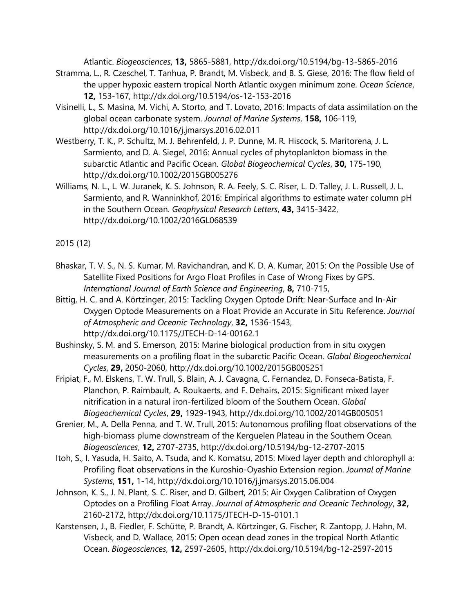Atlantic. *Biogeosciences*, **13,** 5865-5881, http://dx.doi.org/10.5194/bg-13-5865-2016

- Stramma, L., R. Czeschel, T. Tanhua, P. Brandt, M. Visbeck, and B. S. Giese, 2016: The flow field of the upper hypoxic eastern tropical North Atlantic oxygen minimum zone. *Ocean Science*, **12,** 153-167, http://dx.doi.org/10.5194/os-12-153-2016
- Visinelli, L., S. Masina, M. Vichi, A. Storto, and T. Lovato, 2016: Impacts of data assimilation on the global ocean carbonate system. *Journal of Marine Systems*, **158,** 106-119, http://dx.doi.org/10.1016/j.jmarsys.2016.02.011
- Westberry, T. K., P. Schultz, M. J. Behrenfeld, J. P. Dunne, M. R. Hiscock, S. Maritorena, J. L. Sarmiento, and D. A. Siegel, 2016: Annual cycles of phytoplankton biomass in the subarctic Atlantic and Pacific Ocean. *Global Biogeochemical Cycles*, **30,** 175-190, http://dx.doi.org/10.1002/2015GB005276
- Williams, N. L., L. W. Juranek, K. S. Johnson, R. A. Feely, S. C. Riser, L. D. Talley, J. L. Russell, J. L. Sarmiento, and R. Wanninkhof, 2016: Empirical algorithms to estimate water column pH in the Southern Ocean. *Geophysical Research Letters*, **43,** 3415-3422, http://dx.doi.org/10.1002/2016GL068539

2015 (12)

- Bhaskar, T. V. S., N. S. Kumar, M. Ravichandran, and K. D. A. Kumar, 2015: On the Possible Use of Satellite Fixed Positions for Argo Float Profiles in Case of Wrong Fixes by GPS. *International Journal of Earth Science and Engineering*, **8,** 710-715,
- Bittig, H. C. and A. Körtzinger, 2015: Tackling Oxygen Optode Drift: Near-Surface and In-Air Oxygen Optode Measurements on a Float Provide an Accurate in Situ Reference. *Journal of Atmospheric and Oceanic Technology*, **32,** 1536-1543, http://dx.doi.org/10.1175/JTECH-D-14-00162.1
- Bushinsky, S. M. and S. Emerson, 2015: Marine biological production from in situ oxygen measurements on a profiling float in the subarctic Pacific Ocean. *Global Biogeochemical Cycles*, **29,** 2050-2060, http://dx.doi.org/10.1002/2015GB005251
- Fripiat, F., M. Elskens, T. W. Trull, S. Blain, A. J. Cavagna, C. Fernandez, D. Fonseca-Batista, F. Planchon, P. Raimbault, A. Roukaerts, and F. Dehairs, 2015: Significant mixed layer nitrification in a natural iron-fertilized bloom of the Southern Ocean. *Global Biogeochemical Cycles*, **29,** 1929-1943, http://dx.doi.org/10.1002/2014GB005051
- Grenier, M., A. Della Penna, and T. W. Trull, 2015: Autonomous profiling float observations of the high-biomass plume downstream of the Kerguelen Plateau in the Southern Ocean. *Biogeosciences*, **12,** 2707-2735, http://dx.doi.org/10.5194/bg-12-2707-2015
- Itoh, S., I. Yasuda, H. Saito, A. Tsuda, and K. Komatsu, 2015: Mixed layer depth and chlorophyll a: Profiling float observations in the Kuroshio-Oyashio Extension region. *Journal of Marine Systems*, **151,** 1-14, http://dx.doi.org/10.1016/j.jmarsys.2015.06.004
- Johnson, K. S., J. N. Plant, S. C. Riser, and D. Gilbert, 2015: Air Oxygen Calibration of Oxygen Optodes on a Profiling Float Array. *Journal of Atmospheric and Oceanic Technology*, **32,** 2160-2172, http://dx.doi.org/10.1175/JTECH-D-15-0101.1
- Karstensen, J., B. Fiedler, F. Schütte, P. Brandt, A. Körtzinger, G. Fischer, R. Zantopp, J. Hahn, M. Visbeck, and D. Wallace, 2015: Open ocean dead zones in the tropical North Atlantic Ocean. *Biogeosciences*, **12,** 2597-2605, http://dx.doi.org/10.5194/bg-12-2597-2015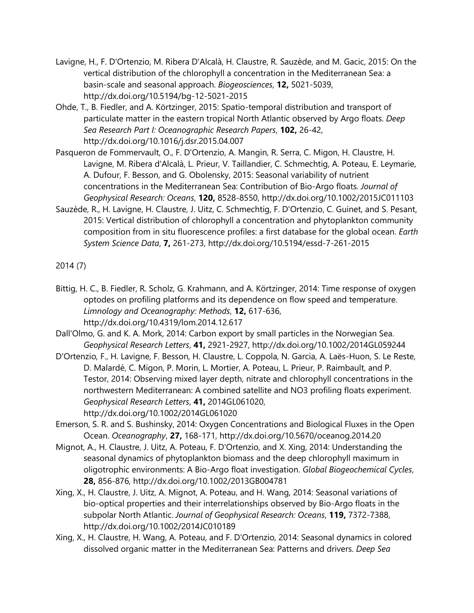- Lavigne, H., F. D'Ortenzio, M. Ribera D'Alcalà, H. Claustre, R. Sauzède, and M. Gacic, 2015: On the vertical distribution of the chlorophyll a concentration in the Mediterranean Sea: a basin-scale and seasonal approach. *Biogeosciences*, **12,** 5021-5039, http://dx.doi.org/10.5194/bg-12-5021-2015
- Ohde, T., B. Fiedler, and A. Körtzinger, 2015: Spatio-temporal distribution and transport of particulate matter in the eastern tropical North Atlantic observed by Argo floats. *Deep Sea Research Part I: Oceanographic Research Papers*, **102,** 26-42, http://dx.doi.org/10.1016/j.dsr.2015.04.007
- Pasqueron de Fommervault, O., F. D'Ortenzio, A. Mangin, R. Serra, C. Migon, H. Claustre, H. Lavigne, M. Ribera d'Alcalà, L. Prieur, V. Taillandier, C. Schmechtig, A. Poteau, E. Leymarie, A. Dufour, F. Besson, and G. Obolensky, 2015: Seasonal variability of nutrient concentrations in the Mediterranean Sea: Contribution of Bio-Argo floats. *Journal of Geophysical Research: Oceans*, **120,** 8528-8550, http://dx.doi.org/10.1002/2015JC011103
- Sauzède, R., H. Lavigne, H. Claustre, J. Uitz, C. Schmechtig, F. D'Ortenzio, C. Guinet, and S. Pesant, 2015: Vertical distribution of chlorophyll a concentration and phytoplankton community composition from in situ fluorescence profiles: a first database for the global ocean. *Earth System Science Data*, **7,** 261-273, http://dx.doi.org/10.5194/essd-7-261-2015

2014 (7)

- Bittig, H. C., B. Fiedler, R. Scholz, G. Krahmann, and A. Körtzinger, 2014: Time response of oxygen optodes on profiling platforms and its dependence on flow speed and temperature. *Limnology and Oceanography: Methods*, **12,** 617-636, http://dx.doi.org/10.4319/lom.2014.12.617
- Dall'Olmo, G. and K. A. Mork, 2014: Carbon export by small particles in the Norwegian Sea. *Geophysical Research Letters*, **41,** 2921-2927, http://dx.doi.org/10.1002/2014GL059244
- D'Ortenzio, F., H. Lavigne, F. Besson, H. Claustre, L. Coppola, N. Garcia, A. Laës-Huon, S. Le Reste, D. Malardé, C. Migon, P. Morin, L. Mortier, A. Poteau, L. Prieur, P. Raimbault, and P. Testor, 2014: Observing mixed layer depth, nitrate and chlorophyll concentrations in the northwestern Mediterranean: A combined satellite and NO3 profiling floats experiment. *Geophysical Research Letters*, **41,** 2014GL061020, http://dx.doi.org/10.1002/2014GL061020
- Emerson, S. R. and S. Bushinsky, 2014: Oxygen Concentrations and Biological Fluxes in the Open Ocean. *Oceanography*, **27,** 168-171, http://dx.doi.org/10.5670/oceanog.2014.20
- Mignot, A., H. Claustre, J. Uitz, A. Poteau, F. D'Ortenzio, and X. Xing, 2014: Understanding the seasonal dynamics of phytoplankton biomass and the deep chlorophyll maximum in oligotrophic environments: A Bio-Argo float investigation. *Global Biogeochemical Cycles*, **28,** 856-876, http://dx.doi.org/10.1002/2013GB004781
- Xing, X., H. Claustre, J. Uitz, A. Mignot, A. Poteau, and H. Wang, 2014: Seasonal variations of bio-optical properties and their interrelationships observed by Bio-Argo floats in the subpolar North Atlantic. *Journal of Geophysical Research: Oceans*, **119,** 7372-7388, http://dx.doi.org/10.1002/2014JC010189
- Xing, X., H. Claustre, H. Wang, A. Poteau, and F. D'Ortenzio, 2014: Seasonal dynamics in colored dissolved organic matter in the Mediterranean Sea: Patterns and drivers. *Deep Sea*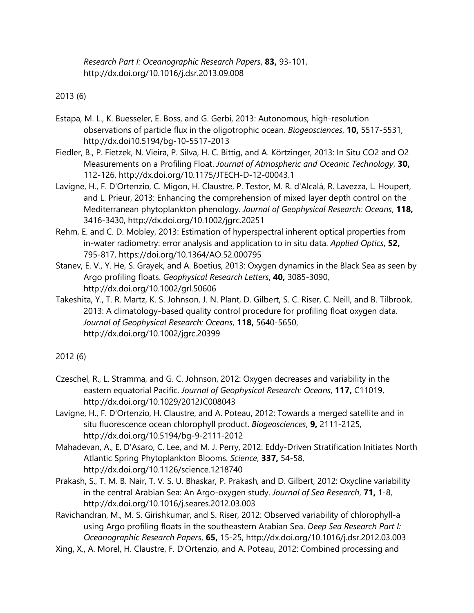*Research Part I: Oceanographic Research Papers*, **83,** 93-101, http://dx.doi.org/10.1016/j.dsr.2013.09.008

2013 (6)

- Estapa, M. L., K. Buesseler, E. Boss, and G. Gerbi, 2013: Autonomous, high-resolution observations of particle flux in the oligotrophic ocean. *Biogeosciences*, **10,** 5517-5531, http://dx.doi10.5194/bg-10-5517-2013
- Fiedler, B., P. Fietzek, N. Vieira, P. Silva, H. C. Bittig, and A. Körtzinger, 2013: In Situ CO2 and O2 Measurements on a Profiling Float. *Journal of Atmospheric and Oceanic Technology*, **30,** 112-126, http://dx.doi.org/10.1175/JTECH-D-12-00043.1
- Lavigne, H., F. D'Ortenzio, C. Migon, H. Claustre, P. Testor, M. R. d'Alcalà, R. Lavezza, L. Houpert, and L. Prieur, 2013: Enhancing the comprehension of mixed layer depth control on the Mediterranean phytoplankton phenology. *Journal of Geophysical Research: Oceans*, **118,** 3416-3430, http://dx.doi.org/10.1002/jgrc.20251
- Rehm, E. and C. D. Mobley, 2013: Estimation of hyperspectral inherent optical properties from in-water radiometry: error analysis and application to in situ data. *Applied Optics*, **52,** 795-817, https://doi.org/10.1364/AO.52.000795
- Stanev, E. V., Y. He, S. Grayek, and A. Boetius, 2013: Oxygen dynamics in the Black Sea as seen by Argo profiling floats. *Geophysical Research Letters*, **40,** 3085-3090, http://dx.doi.org/10.1002/grl.50606
- Takeshita, Y., T. R. Martz, K. S. Johnson, J. N. Plant, D. Gilbert, S. C. Riser, C. Neill, and B. Tilbrook, 2013: A climatology-based quality control procedure for profiling float oxygen data. *Journal of Geophysical Research: Oceans*, **118,** 5640-5650, http://dx.doi.org/10.1002/jgrc.20399

2012 (6)

- Czeschel, R., L. Stramma, and G. C. Johnson, 2012: Oxygen decreases and variability in the eastern equatorial Pacific. *Journal of Geophysical Research: Oceans*, **117,** C11019, http://dx.doi.org/10.1029/2012JC008043
- Lavigne, H., F. D'Ortenzio, H. Claustre, and A. Poteau, 2012: Towards a merged satellite and in situ fluorescence ocean chlorophyll product. *Biogeosciences*, **9,** 2111-2125, http://dx.doi.org/10.5194/bg-9-2111-2012
- Mahadevan, A., E. D'Asaro, C. Lee, and M. J. Perry, 2012: Eddy-Driven Stratification Initiates North Atlantic Spring Phytoplankton Blooms. *Science*, **337,** 54-58, http://dx.doi.org/10.1126/science.1218740
- Prakash, S., T. M. B. Nair, T. V. S. U. Bhaskar, P. Prakash, and D. Gilbert, 2012: Oxycline variability in the central Arabian Sea: An Argo-oxygen study. *Journal of Sea Research*, **71,** 1-8, http://dx.doi.org/10.1016/j.seares.2012.03.003
- Ravichandran, M., M. S. Girishkumar, and S. Riser, 2012: Observed variability of chlorophyll-a using Argo profiling floats in the southeastern Arabian Sea. *Deep Sea Research Part I: Oceanographic Research Papers*, **65,** 15-25, http://dx.doi.org/10.1016/j.dsr.2012.03.003
- Xing, X., A. Morel, H. Claustre, F. D'Ortenzio, and A. Poteau, 2012: Combined processing and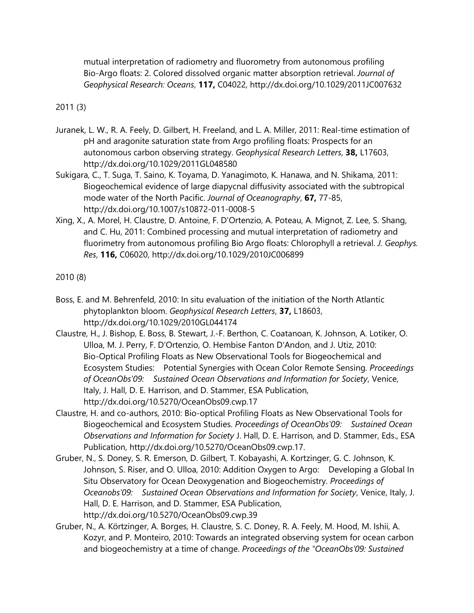mutual interpretation of radiometry and fluorometry from autonomous profiling Bio-Argo floats: 2. Colored dissolved organic matter absorption retrieval. *Journal of Geophysical Research: Oceans*, **117,** C04022, http://dx.doi.org/10.1029/2011JC007632

2011 (3)

- Juranek, L. W., R. A. Feely, D. Gilbert, H. Freeland, and L. A. Miller, 2011: Real-time estimation of pH and aragonite saturation state from Argo profiling floats: Prospects for an autonomous carbon observing strategy. *Geophysical Research Letters*, **38,** L17603, http://dx.doi.org/10.1029/2011GL048580
- Sukigara, C., T. Suga, T. Saino, K. Toyama, D. Yanagimoto, K. Hanawa, and N. Shikama, 2011: Biogeochemical evidence of large diapycnal diffusivity associated with the subtropical mode water of the North Pacific. *Journal of Oceanography*, **67,** 77-85, http://dx.doi.org/10.1007/s10872-011-0008-5
- Xing, X., A. Morel, H. Claustre, D. Antoine, F. D'Ortenzio, A. Poteau, A. Mignot, Z. Lee, S. Shang, and C. Hu, 2011: Combined processing and mutual interpretation of radiometry and fluorimetry from autonomous profiling Bio Argo floats: Chlorophyll a retrieval. *J. Geophys. Res*, **116,** C06020, http://dx.doi.org/10.1029/2010JC006899

2010 (8)

- Boss, E. and M. Behrenfeld, 2010: In situ evaluation of the initiation of the North Atlantic phytoplankton bloom. *Geophysical Research Letters*, **37,** L18603, http://dx.doi.org/10.1029/2010GL044174
- Claustre, H., J. Bishop, E. Boss, B. Stewart, J.-F. Berthon, C. Coatanoan, K. Johnson, A. Lotiker, O. Ulloa, M. J. Perry, F. D'Ortenzio, O. Hembise Fanton D'Andon, and J. Utiz, 2010: Bio-Optical Profiling Floats as New Observational Tools for Biogeochemical and Ecosystem Studies: Potential Synergies with Ocean Color Remote Sensing. *Proceedings of OceanObs'09: Sustained Ocean Observations and Information for Society*, Venice, Italy, J. Hall, D. E. Harrison, and D. Stammer, ESA Publication, http://dx.doi.org/10.5270/OceanObs09.cwp.17
- Claustre, H. and co-authors, 2010: Bio-optical Profiling Floats as New Observational Tools for Biogeochemical and Ecosystem Studies. *Proceedings of OceanObs'09: Sustained Ocean Observations and Information for Society* J. Hall, D. E. Harrison, and D. Stammer, Eds., ESA Publication, http://dx.doi.org/10.5270/OceanObs09.cwp.17.
- Gruber, N., S. Doney, S. R. Emerson, D. Gilbert, T. Kobayashi, A. Kortzinger, G. C. Johnson, K. Johnson, S. Riser, and O. Ulloa, 2010: Addition Oxygen to Argo: Developing a Global In Situ Observatory for Ocean Deoxygenation and Biogeochemistry. *Proceedings of Oceanobs'09: Sustained Ocean Observations and Information for Society*, Venice, Italy, J. Hall, D. E. Harrison, and D. Stammer, ESA Publication, http://dx.doi.org/10.5270/OceanObs09.cwp.39
- Gruber, N., A. Körtzinger, A. Borges, H. Claustre, S. C. Doney, R. A. Feely, M. Hood, M. Ishii, A. Kozyr, and P. Monteiro, 2010: Towards an integrated observing system for ocean carbon and biogeochemistry at a time of change. *Proceedings of the "OceanObs'09: Sustained*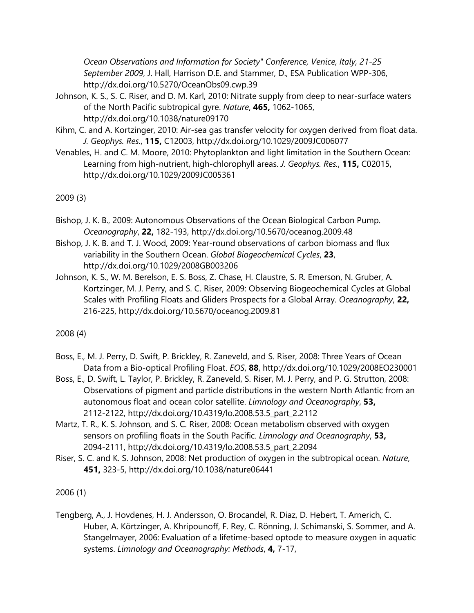*Ocean Observations and Information for Society" Conference, Venice, Italy, 21-25 September 2009*, J. Hall, Harrison D.E. and Stammer, D., ESA Publication WPP-306, http://dx.doi.org/10.5270/OceanObs09.cwp.39

- Johnson, K. S., S. C. Riser, and D. M. Karl, 2010: Nitrate supply from deep to near-surface waters of the North Pacific subtropical gyre. *Nature*, **465,** 1062-1065, http://dx.doi.org/10.1038/nature09170
- Kihm, C. and A. Kortzinger, 2010: Air-sea gas transfer velocity for oxygen derived from float data. *J. Geophys. Res.*, **115,** C12003, http://dx.doi.org/10.1029/2009JC006077
- Venables, H. and C. M. Moore, 2010: Phytoplankton and light limitation in the Southern Ocean: Learning from high-nutrient, high-chlorophyll areas. *J. Geophys. Res.*, **115,** C02015, http://dx.doi.org/10.1029/2009JC005361

2009 (3)

- Bishop, J. K. B., 2009: Autonomous Observations of the Ocean Biological Carbon Pump. *Oceanography*, **22,** 182-193, http://dx.doi.org/10.5670/oceanog.2009.48
- Bishop, J. K. B. and T. J. Wood, 2009: Year-round observations of carbon biomass and flux variability in the Southern Ocean. *Global Biogeochemical Cycles*, **23**, http://dx.doi.org/10.1029/2008GB003206
- Johnson, K. S., W. M. Berelson, E. S. Boss, Z. Chase, H. Claustre, S. R. Emerson, N. Gruber, A. Kortzinger, M. J. Perry, and S. C. Riser, 2009: Observing Biogeochemical Cycles at Global Scales with Profiling Floats and Gliders Prospects for a Global Array. *Oceanography*, **22,** 216-225, http://dx.doi.org/10.5670/oceanog.2009.81

2008 (4)

- Boss, E., M. J. Perry, D. Swift, P. Brickley, R. Zaneveld, and S. Riser, 2008: Three Years of Ocean Data from a Bio-optical Profiling Float. *EOS*, **88**, http://dx.doi.org/10.1029/2008EO230001
- Boss, E., D. Swift, L. Taylor, P. Brickley, R. Zaneveld, S. Riser, M. J. Perry, and P. G. Strutton, 2008: Observations of pigment and particle distributions in the western North Atlantic from an autonomous float and ocean color satellite. *Limnology and Oceanography*, **53,** 2112-2122, http://dx.doi.org/10.4319/lo.2008.53.5\_part\_2.2112
- Martz, T. R., K. S. Johnson, and S. C. Riser, 2008: Ocean metabolism observed with oxygen sensors on profiling floats in the South Pacific. *Limnology and Oceanography*, **53,** 2094-2111, http://dx.doi.org/10.4319/lo.2008.53.5\_part\_2.2094
- Riser, S. C. and K. S. Johnson, 2008: Net production of oxygen in the subtropical ocean. *Nature*, **451,** 323-5, http://dx.doi.org/10.1038/nature06441

2006 (1)

Tengberg, A., J. Hovdenes, H. J. Andersson, O. Brocandel, R. Diaz, D. Hebert, T. Arnerich, C. Huber, A. Körtzinger, A. Khripounoff, F. Rey, C. Rönning, J. Schimanski, S. Sommer, and A. Stangelmayer, 2006: Evaluation of a lifetime-based optode to measure oxygen in aquatic systems. *Limnology and Oceanography: Methods*, **4,** 7-17,